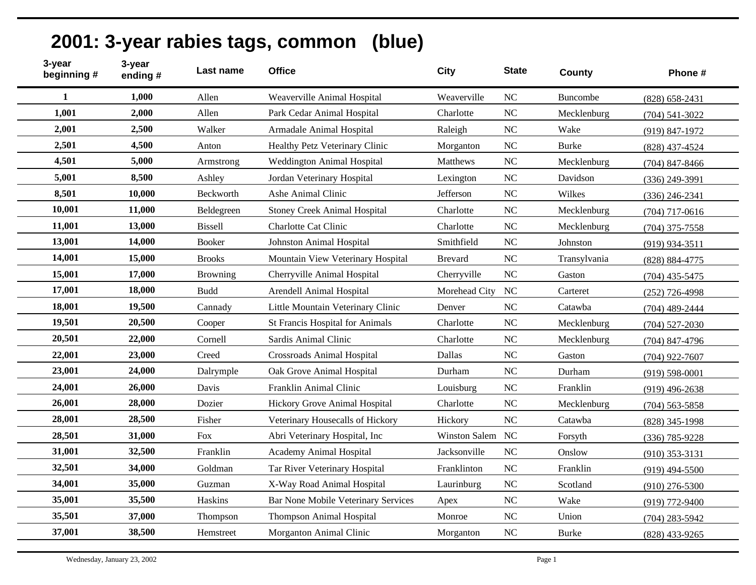|                       |                    |           | 2001: 3-year rabies tags, common (blue) |      |             |
|-----------------------|--------------------|-----------|-----------------------------------------|------|-------------|
| 3-year<br>beginning # | 3-vear<br>ending # | Last name | <b>Office</b>                           | City | <b>Stat</b> |
|                       |                    |           |                                         |      |             |

| beginning #  | ending # | Last name       | <b>Office</b>                       | <b>City</b>    | <b>State</b> | <b>County</b> | Phone #            |
|--------------|----------|-----------------|-------------------------------------|----------------|--------------|---------------|--------------------|
| $\mathbf{1}$ | 1,000    | Allen           | Weaverville Animal Hospital         | Weaverville    | <b>NC</b>    | Buncombe      | $(828) 658 - 2431$ |
| 1,001        | 2,000    | Allen           | Park Cedar Animal Hospital          | Charlotte      | <b>NC</b>    | Mecklenburg   | $(704)$ 541-3022   |
| 2,001        | 2,500    | Walker          | Armadale Animal Hospital            | Raleigh        | NC           | Wake          | $(919) 847 - 1972$ |
| 2,501        | 4,500    | Anton           | Healthy Petz Veterinary Clinic      | Morganton      | <b>NC</b>    | <b>Burke</b>  | $(828)$ 437-4524   |
| 4,501        | 5,000    | Armstrong       | <b>Weddington Animal Hospital</b>   | Matthews       | NC           | Mecklenburg   | $(704)$ 847-8466   |
| 5,001        | 8,500    | Ashley          | Jordan Veterinary Hospital          | Lexington      | <b>NC</b>    | Davidson      | $(336)$ 249-3991   |
| 8,501        | 10,000   | Beckworth       | Ashe Animal Clinic                  | Jefferson      | NC           | Wilkes        | $(336)$ 246-2341   |
| 10,001       | 11,000   | Beldegreen      | <b>Stoney Creek Animal Hospital</b> | Charlotte      | <b>NC</b>    | Mecklenburg   | $(704)$ 717-0616   |
| 11,001       | 13,000   | <b>Bissell</b>  | Charlotte Cat Clinic                | Charlotte      | NC           | Mecklenburg   | $(704)$ 375-7558   |
| 13,001       | 14,000   | <b>Booker</b>   | Johnston Animal Hospital            | Smithfield     | $\rm NC$     | Johnston      | $(919)$ 934-3511   |
| 14,001       | 15,000   | <b>Brooks</b>   | Mountain View Veterinary Hospital   | <b>Brevard</b> | NC           | Transylvania  | (828) 884-4775     |
| 15,001       | 17,000   | <b>Browning</b> | Cherryville Animal Hospital         | Cherryville    | <b>NC</b>    | Gaston        | $(704)$ 435-5475   |
| 17,001       | 18,000   | <b>Budd</b>     | Arendell Animal Hospital            | Morehead City  | NC           | Carteret      | $(252)$ 726-4998   |
| 18,001       | 19,500   | Cannady         | Little Mountain Veterinary Clinic   | Denver         | NC           | Catawba       | $(704)$ 489-2444   |
| 19,501       | 20,500   | Cooper          | St Francis Hospital for Animals     | Charlotte      | <b>NC</b>    | Mecklenburg   | $(704)$ 527-2030   |
| 20,501       | 22,000   | Cornell         | Sardis Animal Clinic                | Charlotte      | NC           | Mecklenburg   | $(704)$ 847-4796   |
| 22,001       | 23,000   | Creed           | Crossroads Animal Hospital          | Dallas         | <b>NC</b>    | Gaston        | $(704)$ 922-7607   |
| 23,001       | 24,000   | Dalrymple       | Oak Grove Animal Hospital           | Durham         | NC           | Durham        | $(919) 598 - 0001$ |
| 24,001       | 26,000   | Davis           | Franklin Animal Clinic              | Louisburg      | <b>NC</b>    | Franklin      | $(919)$ 496-2638   |
| 26,001       | 28,000   | Dozier          | Hickory Grove Animal Hospital       | Charlotte      | NC           | Mecklenburg   | $(704)$ 563-5858   |
| 28,001       | 28,500   | Fisher          | Veterinary Housecalls of Hickory    | Hickory        | NC           | Catawba       | $(828)$ 345-1998   |
| 28,501       | 31,000   | <b>Fox</b>      | Abri Veterinary Hospital, Inc       | Winston Salem  | <b>NC</b>    | Forsyth       | $(336)$ 785-9228   |
| 31,001       | 32,500   | Franklin        | Academy Animal Hospital             | Jacksonville   | $\rm NC$     | Onslow        | $(910)$ 353-3131   |
| 32,501       | 34,000   | Goldman         | Tar River Veterinary Hospital       | Franklinton    | <b>NC</b>    | Franklin      | $(919)$ 494-5500   |
| 34,001       | 35,000   | Guzman          | X-Way Road Animal Hospital          | Laurinburg     | <b>NC</b>    | Scotland      | $(910)$ 276-5300   |
| 35,001       | 35,500   | Haskins         | Bar None Mobile Veterinary Services | Apex           | <b>NC</b>    | Wake          | $(919)$ 772-9400   |
| 35,501       | 37,000   | Thompson        | Thompson Animal Hospital            | Monroe         | NC           | Union         | $(704)$ 283-5942   |
| 37,001       | 38,500   | Hemstreet       | Morganton Animal Clinic             | Morganton      | <b>NC</b>    | <b>Burke</b>  | $(828)$ 433-9265   |
|              |          |                 |                                     |                |              |               |                    |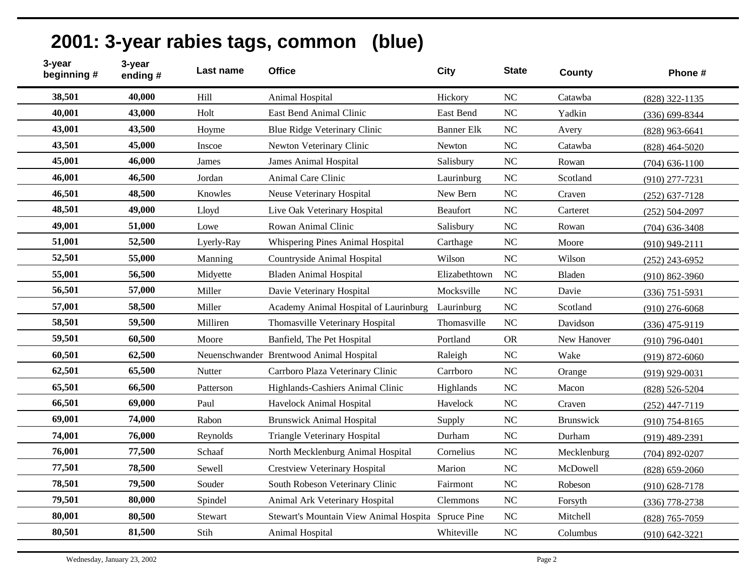| 3-year<br>beginning # | 3-year<br>ending# | Last name  | <b>Office</b>                                      | <b>City</b>       | <b>State</b>   | County      | Phone #            |
|-----------------------|-------------------|------------|----------------------------------------------------|-------------------|----------------|-------------|--------------------|
| 38,501                | 40,000            | Hill       | Animal Hospital                                    | Hickory           | $\rm NC$       | Catawba     | $(828)$ 322-1135   |
| 40,001                | 43,000            | Holt       | East Bend Animal Clinic                            | East Bend         | <b>NC</b>      | Yadkin      | $(336) 699 - 8344$ |
| 43,001                | 43,500            | Hoyme      | Blue Ridge Veterinary Clinic                       | <b>Banner Elk</b> | <b>NC</b>      | Avery       | $(828)$ 963-6641   |
| 43,501                | 45,000            | Inscoe     | Newton Veterinary Clinic                           | <b>Newton</b>     | NC             | Catawba     | $(828)$ 464-5020   |
| 45,001                | 46,000            | James      | <b>James Animal Hospital</b>                       | Salisbury         | NC             | Rowan       | $(704)$ 636-1100   |
| 46,001                | 46,500            | Jordan     | Animal Care Clinic                                 | Laurinburg        | <b>NC</b>      | Scotland    | $(910)$ 277-7231   |
| 46,501                | 48,500            | Knowles    | Neuse Veterinary Hospital                          | New Bern          | <b>NC</b>      | Craven      | $(252)$ 637-7128   |
| 48,501                | 49,000            | Lloyd      | Live Oak Veterinary Hospital                       | <b>Beaufort</b>   | <b>NC</b>      | Carteret    | $(252) 504 - 2097$ |
| 49,001                | 51,000            | Lowe       | Rowan Animal Clinic                                | Salisbury         | NC             | Rowan       | $(704)$ 636-3408   |
| 51,001                | 52,500            | Lyerly-Ray | Whispering Pines Animal Hospital                   | Carthage          | NC             | Moore       | $(910)$ 949-2111   |
| 52,501                | 55,000            | Manning    | Countryside Animal Hospital                        | Wilson            | <b>NC</b>      | Wilson      | $(252)$ 243-6952   |
| 55,001                | 56,500            | Midyette   | <b>Bladen Animal Hospital</b>                      | Elizabethtown     | <b>NC</b>      | Bladen      | $(910) 862 - 3960$ |
| 56,501                | 57,000            | Miller     | Davie Veterinary Hospital                          | Mocksville        | <b>NC</b>      | Davie       | $(336)$ 751-5931   |
| 57,001                | 58,500            | Miller     | Academy Animal Hospital of Laurinburg              | Laurinburg        | <b>NC</b>      | Scotland    | $(910)$ 276-6068   |
| 58,501                | 59,500            | Milliren   | Thomasville Veterinary Hospital                    | Thomasville       | NC             | Davidson    | $(336)$ 475-9119   |
| 59,501                | 60,500            | Moore      | Banfield, The Pet Hospital                         | Portland          | <b>OR</b>      | New Hanover | $(910)$ 796-0401   |
| 60,501                | 62,500            |            | Neuenschwander Brentwood Animal Hospital           | Raleigh           | <b>NC</b>      | Wake        | $(919) 872 - 6060$ |
| 62,501                | 65,500            | Nutter     | Carrboro Plaza Veterinary Clinic                   | Carrboro          | <b>NC</b>      | Orange      | $(919)$ 929-0031   |
| 65,501                | 66,500            | Patterson  | Highlands-Cashiers Animal Clinic                   | Highlands         | <b>NC</b>      | Macon       | $(828) 526 - 5204$ |
| 66,501                | 69,000            | Paul       | Havelock Animal Hospital                           | Havelock          | <b>NC</b>      | Craven      | $(252)$ 447-7119   |
| 69,001                | 74,000            | Rabon      | <b>Brunswick Animal Hospital</b>                   | Supply            | NC             | Brunswick   | $(910)$ 754-8165   |
| 74,001                | 76,000            | Reynolds   | <b>Triangle Veterinary Hospital</b>                | Durham            | NC             | Durham      | $(919)$ 489-2391   |
| 76,001                | 77,500            | Schaaf     | North Mecklenburg Animal Hospital                  | Cornelius         | NC             | Mecklenburg | $(704)$ 892-0207   |
| 77,501                | 78,500            | Sewell     | <b>Crestview Veterinary Hospital</b>               | Marion            | <b>NC</b>      | McDowell    | $(828) 659 - 2060$ |
| 78,501                | 79,500            | Souder     | South Robeson Veterinary Clinic                    | Fairmont          | <b>NC</b>      | Robeson     | $(910)$ 628-7178   |
| 79,501                | 80,000            | Spindel    | Animal Ark Veterinary Hospital                     | <b>Clemmons</b>   | NC             | Forsyth     | $(336)$ 778-2738   |
| 80,001                | 80,500            | Stewart    | Stewart's Mountain View Animal Hospita Spruce Pine |                   | N <sub>C</sub> | Mitchell    | (828) 765-7059     |
| 80,501                | 81,500            | Stih       | Animal Hospital                                    | Whiteville        | N <sub>C</sub> | Columbus    | $(910) 642 - 3221$ |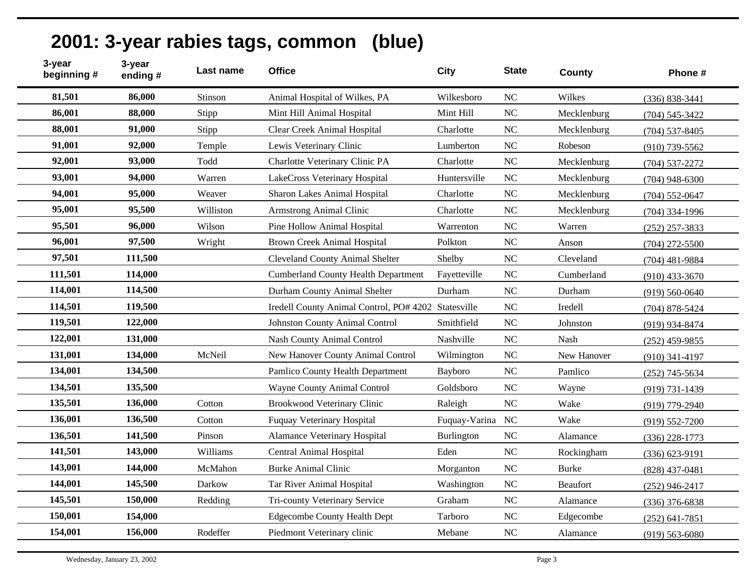| 3-year<br>beginning # | 3-year<br>ending# | Last name | <b>Office</b>                                       | <b>City</b>   | <b>State</b>   | County          | Phone #            |
|-----------------------|-------------------|-----------|-----------------------------------------------------|---------------|----------------|-----------------|--------------------|
| 81,501                | 86,000            | Stinson   | Animal Hospital of Wilkes, PA                       | Wilkesboro    | NC             | Wilkes          | $(336) 838 - 3441$ |
| 86,001                | 88,000            | Stipp     | Mint Hill Animal Hospital                           | Mint Hill     | N <sub>C</sub> | Mecklenburg     | $(704) 545 - 3422$ |
| 88,001                | 91,000            | Stipp     | Clear Creek Animal Hospital                         | Charlotte     | <b>NC</b>      | Mecklenburg     | $(704)$ 537-8405   |
| 91,001                | 92,000            | Temple    | Lewis Veterinary Clinic                             | Lumberton     | N <sub>C</sub> | Robeson         | $(910)$ 739-5562   |
| 92,001                | 93,000            | Todd      | Charlotte Veterinary Clinic PA                      | Charlotte     | <b>NC</b>      | Mecklenburg     | $(704)$ 537-2272   |
| 93,001                | 94,000            | Warren    | LakeCross Veterinary Hospital                       | Huntersville  | <b>NC</b>      | Mecklenburg     | $(704)$ 948-6300   |
| 94,001                | 95,000            | Weaver    | <b>Sharon Lakes Animal Hospital</b>                 | Charlotte     | N <sub>C</sub> | Mecklenburg     | $(704)$ 552-0647   |
| 95,001                | 95,500            | Williston | <b>Armstrong Animal Clinic</b>                      | Charlotte     | N <sub>C</sub> | Mecklenburg     | $(704)$ 334-1996   |
| 95,501                | 96,000            | Wilson    | Pine Hollow Animal Hospital                         | Warrenton     | <b>NC</b>      | Warren          | $(252)$ 257-3833   |
| 96,001                | 97,500            | Wright    | <b>Brown Creek Animal Hospital</b>                  | Polkton       | N <sub>C</sub> | Anson           | $(704)$ 272-5500   |
| 97,501                | 111,500           |           | <b>Cleveland County Animal Shelter</b>              | Shelby        | <b>NC</b>      | Cleveland       | $(704)$ 481-9884   |
| 111,501               | 114,000           |           | <b>Cumberland County Health Department</b>          | Fayetteville  | N <sub>C</sub> | Cumberland      | $(910)$ 433-3670   |
| 114,001               | 114,500           |           | Durham County Animal Shelter                        | Durham        | <b>NC</b>      | Durham          | $(919) 560 - 0640$ |
| 114,501               | 119,500           |           | Iredell County Animal Control, PO# 4202 Statesville |               | N <sub>C</sub> | Iredell         | $(704)$ 878-5424   |
| 119,501               | 122,000           |           | Johnston County Animal Control                      | Smithfield    | N <sub>C</sub> | Johnston        | (919) 934-8474     |
| 122,001               | 131,000           |           | Nash County Animal Control                          | Nashville     | <b>NC</b>      | Nash            | $(252)$ 459-9855   |
| 131,001               | 134,000           | McNeil    | New Hanover County Animal Control                   | Wilmington    | <b>NC</b>      | New Hanover     | $(910)$ 341-4197   |
| 134,001               | 134,500           |           | Pamlico County Health Department                    | Bayboro       | <b>NC</b>      | Pamlico         | $(252)$ 745-5634   |
| 134,501               | 135,500           |           | Wayne County Animal Control                         | Goldsboro     | <b>NC</b>      | Wayne           | $(919) 731 - 1439$ |
| 135,501               | 136,000           | Cotton    | Brookwood Veterinary Clinic                         | Raleigh       | NC             | Wake            | $(919)$ 779-2940   |
| 136,001               | 136,500           | Cotton    | <b>Fuquay Veterinary Hospital</b>                   | Fuquay-Varina | NC             | Wake            | $(919) 552 - 7200$ |
| 136,501               | 141,500           | Pinson    | <b>Alamance Veterinary Hospital</b>                 | Burlington    | NC             | Alamance        | $(336)$ 228-1773   |
| 141,501               | 143,000           | Williams  | <b>Central Animal Hospital</b>                      | Eden          | N <sub>C</sub> | Rockingham      | $(336) 623 - 9191$ |
| 143,001               | 144,000           | McMahon   | <b>Burke Animal Clinic</b>                          | Morganton     | N <sub>C</sub> | <b>Burke</b>    | $(828)$ 437-0481   |
| 144,001               | 145,500           | Darkow    | Tar River Animal Hospital                           | Washington    | N <sub>C</sub> | <b>Beaufort</b> | $(252)$ 946-2417   |
| 145,501               | 150,000           | Redding   | Tri-county Veterinary Service                       | Graham        | <b>NC</b>      | Alamance        | $(336)$ 376-6838   |
| 150,001               | 154,000           |           | <b>Edgecombe County Health Dept</b>                 | Tarboro       | N <sub>C</sub> | Edgecombe       | $(252)$ 641-7851   |
| 154,001               | 156,000           | Rodeffer  | Piedmont Veterinary clinic                          | Mebane        | N <sub>C</sub> | Alamance        | $(919) 563 - 6080$ |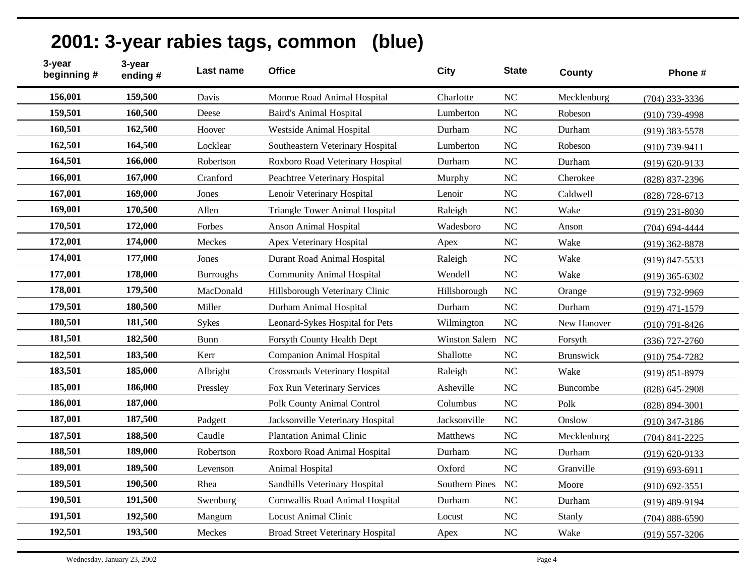| 3-year<br>beginning # | 3-year<br>ending# | Last name        | <b>Office</b>                           | <b>City</b>    | <b>State</b>   | County      | Phone #            |
|-----------------------|-------------------|------------------|-----------------------------------------|----------------|----------------|-------------|--------------------|
| 156,001               | 159,500           | Davis            | Monroe Road Animal Hospital             | Charlotte      | NC             | Mecklenburg | $(704)$ 333-3336   |
| 159,501               | 160,500           | Deese            | <b>Baird's Animal Hospital</b>          | Lumberton      | N <sub>C</sub> | Robeson     | $(910)$ 739-4998   |
| 160,501               | 162,500           | Hoover           | <b>Westside Animal Hospital</b>         | Durham         | NC             | Durham      | $(919)$ 383-5578   |
| 162,501               | 164,500           | Locklear         | Southeastern Veterinary Hospital        | Lumberton      | NC             | Robeson     | $(910)$ 739-9411   |
| 164,501               | 166,000           | Robertson        | Roxboro Road Veterinary Hospital        | Durham         | NC             | Durham      | $(919) 620 - 9133$ |
| 166,001               | 167,000           | Cranford         | Peachtree Veterinary Hospital           | Murphy         | N <sub>C</sub> | Cherokee    | $(828)$ 837-2396   |
| 167,001               | 169,000           | Jones            | Lenoir Veterinary Hospital              | Lenoir         | NC             | Caldwell    | $(828)$ 728-6713   |
| 169,001               | 170,500           | Allen            | <b>Triangle Tower Animal Hospital</b>   | Raleigh        | NC             | Wake        | $(919)$ 231-8030   |
| 170,501               | 172,000           | Forbes           | <b>Anson Animal Hospital</b>            | Wadesboro      | NC             | Anson       | $(704)$ 694-4444   |
| 172,001               | 174,000           | Meckes           | Apex Veterinary Hospital                | Apex           | NC             | Wake        | $(919)$ 362-8878   |
| 174,001               | 177,000           | Jones            | Durant Road Animal Hospital             | Raleigh        | N <sub>C</sub> | Wake        | $(919)$ 847-5533   |
| 177,001               | 178,000           | <b>Burroughs</b> | <b>Community Animal Hospital</b>        | Wendell        | N <sub>C</sub> | Wake        | $(919)$ 365-6302   |
| 178,001               | 179,500           | MacDonald        | Hillsborough Veterinary Clinic          | Hillsborough   | NC             | Orange      | (919) 732-9969     |
| 179,501               | 180,500           | Miller           | Durham Animal Hospital                  | Durham         | NC             | Durham      | $(919)$ 471-1579   |
| 180,501               | 181,500           | Sykes            | Leonard-Sykes Hospital for Pets         | Wilmington     | NC             | New Hanover | $(910)$ 791-8426   |
| 181,501               | 182,500           | Bunn             | Forsyth County Health Dept              | Winston Salem  | <b>NC</b>      | Forsyth     | $(336)$ 727-2760   |
| 182,501               | 183,500           | Kerr             | <b>Companion Animal Hospital</b>        | Shallotte      | NC             | Brunswick   | $(910) 754 - 7282$ |
| 183,501               | 185,000           | Albright         | Crossroads Veterinary Hospital          | Raleigh        | NC             | Wake        | $(919) 851 - 8979$ |
| 185,001               | 186,000           | Pressley         | Fox Run Veterinary Services             | Asheville      | NC             | Buncombe    | $(828) 645 - 2908$ |
| 186,001               | 187,000           |                  | Polk County Animal Control              | Columbus       | NC             | Polk        | $(828) 894 - 3001$ |
| 187,001               | 187,500           | Padgett          | Jacksonville Veterinary Hospital        | Jacksonville   | NC             | Onslow      | $(910)$ 347-3186   |
| 187,501               | 188,500           | Caudle           | <b>Plantation Animal Clinic</b>         | Matthews       | NC             | Mecklenburg | $(704)$ 841-2225   |
| 188,501               | 189,000           | Robertson        | Roxboro Road Animal Hospital            | Durham         | N <sub>C</sub> | Durham      | $(919) 620 - 9133$ |
| 189,001               | 189,500           | Levenson         | Animal Hospital                         | Oxford         | NC             | Granville   | $(919) 693 - 6911$ |
| 189,501               | 190,500           | Rhea             | Sandhills Veterinary Hospital           | Southern Pines | <b>NC</b>      | Moore       | $(910) 692 - 3551$ |
| 190,501               | 191,500           | Swenburg         | Cornwallis Road Animal Hospital         | Durham         | NC             | Durham      | $(919)$ 489-9194   |
| 191,501               | 192,500           | Mangum           | <b>Locust Animal Clinic</b>             | Locust         | NC             | Stanly      | $(704) 888 - 6590$ |
| 192,501               | 193,500           | Meckes           | <b>Broad Street Veterinary Hospital</b> | Apex           | NC             | Wake        | $(919)$ 557-3206   |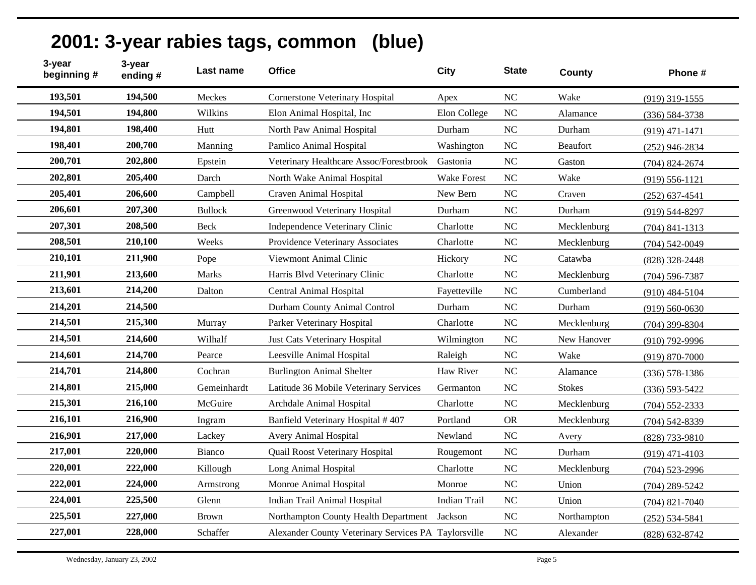| 3-year<br>3-year<br>beginning #<br>ending# | Last name      | <b>Office</b>                                        | <b>City</b>         | <b>State</b>   | County          | Phone #            |
|--------------------------------------------|----------------|------------------------------------------------------|---------------------|----------------|-----------------|--------------------|
| 193,501<br>194,500                         | Meckes         | <b>Cornerstone Veterinary Hospital</b>               | Apex                | NC             | Wake            | $(919)$ 319-1555   |
| 194,501<br>194,800                         | Wilkins        | Elon Animal Hospital, Inc                            | Elon College        | NC             | Alamance        | $(336) 584 - 3738$ |
| 194,801<br>198,400                         | Hutt           | North Paw Animal Hospital                            | Durham              | N <sub>C</sub> | Durham          | $(919)$ 471-1471   |
| 198,401<br>200,700                         | Manning        | Pamlico Animal Hospital                              | Washington          | N <sub>C</sub> | <b>Beaufort</b> | $(252)$ 946-2834   |
| 200,701<br>202,800                         | Epstein        | Veterinary Healthcare Assoc/Forestbrook              | Gastonia            | <b>NC</b>      | Gaston          | $(704)$ 824-2674   |
| 202,801<br>205,400                         | Darch          | North Wake Animal Hospital                           | Wake Forest         | N <sub>C</sub> | Wake            | $(919) 556 - 1121$ |
| 205,401<br>206,600                         | Campbell       | Craven Animal Hospital                               | New Bern            | <b>NC</b>      | Craven          | $(252)$ 637-4541   |
| 206,601<br>207,300                         | <b>Bullock</b> | Greenwood Veterinary Hospital                        | Durham              | <b>NC</b>      | Durham          | $(919) 544 - 8297$ |
| 207,301<br>208,500                         | <b>Beck</b>    | Independence Veterinary Clinic                       | Charlotte           | N <sub>C</sub> | Mecklenburg     | $(704)$ 841-1313   |
| 208,501<br>210,100                         | Weeks          | Providence Veterinary Associates                     | Charlotte           | $\rm NC$       | Mecklenburg     | $(704)$ 542-0049   |
| 210,101<br>211,900                         | Pope           | Viewmont Animal Clinic                               | Hickory             | N <sub>C</sub> | Catawba         | $(828)$ 328-2448   |
| 211,901<br>213,600                         | Marks          | Harris Blvd Veterinary Clinic                        | Charlotte           | <b>NC</b>      | Mecklenburg     | $(704)$ 596-7387   |
| 213,601<br>214,200                         | Dalton         | Central Animal Hospital                              | Fayetteville        | <b>NC</b>      | Cumberland      | $(910)$ 484-5104   |
| 214,201<br>214,500                         |                | Durham County Animal Control                         | Durham              | NC             | Durham          | $(919) 560 - 0630$ |
| 214,501<br>215,300                         | Murray         | Parker Veterinary Hospital                           | Charlotte           | N <sub>C</sub> | Mecklenburg     | $(704)$ 399-8304   |
| 214,501<br>214,600                         | Wilhalf        | Just Cats Veterinary Hospital                        | Wilmington          | NC             | New Hanover     | $(910)$ 792-9996   |
| 214,601<br>214,700                         | Pearce         | Leesville Animal Hospital                            | Raleigh             | <b>NC</b>      | Wake            | $(919) 870 - 7000$ |
| 214,701<br>214,800                         | Cochran        | <b>Burlington Animal Shelter</b>                     | Haw River           | NC             | Alamance        | $(336)$ 578-1386   |
| 214,801<br>215,000                         | Gemeinhardt    | Latitude 36 Mobile Veterinary Services               | Germanton           | N <sub>C</sub> | <b>Stokes</b>   | $(336) 593 - 5422$ |
| 215,301<br>216,100                         | McGuire        | Archdale Animal Hospital                             | Charlotte           | NC             | Mecklenburg     | $(704)$ 552-2333   |
| 216,101<br>216,900                         | Ingram         | Banfield Veterinary Hospital #407                    | Portland            | <b>OR</b>      | Mecklenburg     | $(704)$ 542-8339   |
| 216,901<br>217,000                         | Lackey         | Avery Animal Hospital                                | Newland             | NC             | Avery           | (828) 733-9810     |
| 217,001<br>220,000                         | Bianco         | Quail Roost Veterinary Hospital                      | Rougemont           | <b>NC</b>      | Durham          | $(919)$ 471-4103   |
| 220,001<br>222,000                         | Killough       | Long Animal Hospital                                 | Charlotte           | NC             | Mecklenburg     | $(704)$ 523-2996   |
| 222,001<br>224,000                         | Armstrong      | Monroe Animal Hospital                               | Monroe              | <b>NC</b>      | Union           | $(704)$ 289-5242   |
| 224,001<br>225,500                         | Glenn          | Indian Trail Animal Hospital                         | <b>Indian Trail</b> | N <sub>C</sub> | Union           | $(704)$ 821-7040   |
| 225,501<br>227,000                         | <b>Brown</b>   | Northampton County Health Department                 | Jackson             | NC             | Northampton     | $(252) 534 - 5841$ |
| 227,001<br>228,000                         | Schaffer       | Alexander County Veterinary Services PA Taylorsville |                     | NC             | Alexander       | $(828) 632 - 8742$ |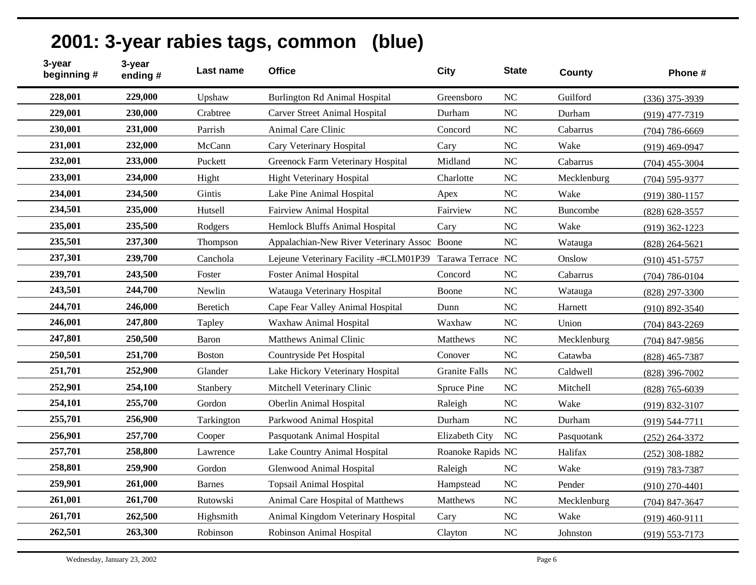| 2001: 3-year rabies tags, common (blue) |  |  |  |  |
|-----------------------------------------|--|--|--|--|
|-----------------------------------------|--|--|--|--|

| 3-year<br>3-year<br>beginning #<br>ending# | Last name     | <b>Office</b>                                            | City                 | <b>State</b>   | <b>County</b> | Phone #            |
|--------------------------------------------|---------------|----------------------------------------------------------|----------------------|----------------|---------------|--------------------|
| 228,001<br>229,000                         | Upshaw        | <b>Burlington Rd Animal Hospital</b>                     | Greensboro           | NC             | Guilford      | $(336)$ 375-3939   |
| 229,001<br>230,000                         | Crabtree      | <b>Carver Street Animal Hospital</b>                     | Durham               | NC             | Durham        | $(919)$ 477-7319   |
| 230,001<br>231,000                         | Parrish       | Animal Care Clinic                                       | Concord              | N <sub>C</sub> | Cabarrus      | $(704)$ 786-6669   |
| 231,001<br>232,000                         | McCann        | Cary Veterinary Hospital                                 | Cary                 | <b>NC</b>      | Wake          | $(919)$ 469-0947   |
| 232,001<br>233,000                         | Puckett       | Greenock Farm Veterinary Hospital                        | Midland              | <b>NC</b>      | Cabarrus      | $(704)$ 455-3004   |
| 233,001<br>234,000                         | Hight         | <b>Hight Veterinary Hospital</b>                         | Charlotte            | NC             | Mecklenburg   | $(704)$ 595-9377   |
| 234,001<br>234,500                         | Gintis        | Lake Pine Animal Hospital                                | Apex                 | NC             | Wake          | $(919)$ 380-1157   |
| 234,501<br>235,000                         | Hutsell       | Fairview Animal Hospital                                 | Fairview             | NC             | Buncombe      | (828) 628-3557     |
| 235,001<br>235,500                         | Rodgers       | Hemlock Bluffs Animal Hospital                           | Cary                 | <b>NC</b>      | Wake          | $(919)$ 362-1223   |
| 235,501<br>237,300                         | Thompson      | Appalachian-New River Veterinary Assoc Boone             |                      | <b>NC</b>      | Watauga       | $(828)$ 264-5621   |
| 237,301<br>239,700                         | Canchola      | Lejeune Veterinary Facility -#CLM01P39 Tarawa Terrace NC |                      |                | Onslow        | $(910)$ 451-5757   |
| 239,701<br>243,500                         | Foster        | <b>Foster Animal Hospital</b>                            | Concord              | <b>NC</b>      | Cabarrus      | $(704) 786 - 0104$ |
| 243,501<br>244,700                         | Newlin        | Watauga Veterinary Hospital                              | Boone                | N <sub>C</sub> | Watauga       | (828) 297-3300     |
| 244,701<br>246,000                         | Beretich      | Cape Fear Valley Animal Hospital                         | Dunn                 | <b>NC</b>      | Harnett       | $(910) 892 - 3540$ |
| 246,001<br>247,800                         | Tapley        | Waxhaw Animal Hospital                                   | Waxhaw               | NC             | Union         | $(704)$ 843-2269   |
| 247,801<br>250,500                         | Baron         | <b>Matthews Animal Clinic</b>                            | <b>Matthews</b>      | NC             | Mecklenburg   | $(704)$ 847-9856   |
| 251,700<br>250,501                         | <b>Boston</b> | Countryside Pet Hospital                                 | Conover              | NC             | Catawba       | $(828)$ 465-7387   |
| 251,701<br>252,900                         | Glander       | Lake Hickory Veterinary Hospital                         | <b>Granite Falls</b> | NC             | Caldwell      | $(828)$ 396-7002   |
| 252,901<br>254,100                         | Stanbery      | Mitchell Veterinary Clinic                               | Spruce Pine          | NC             | Mitchell      | $(828)$ 765-6039   |
| 254,101<br>255,700                         | Gordon        | <b>Oberlin Animal Hospital</b>                           | Raleigh              | <b>NC</b>      | Wake          | $(919) 832 - 3107$ |
| 255,701<br>256,900                         | Tarkington    | Parkwood Animal Hospital                                 | Durham               | N <sub>C</sub> | Durham        | $(919) 544 - 7711$ |
| 256,901<br>257,700                         | Cooper        | Pasquotank Animal Hospital                               | Elizabeth City       | <b>NC</b>      | Pasquotank    | $(252)$ 264-3372   |
| 258,800<br>257,701                         | Lawrence      | Lake Country Animal Hospital                             | Roanoke Rapids NC    |                | Halifax       | $(252)$ 308-1882   |
| 258,801<br>259,900                         | Gordon        | Glenwood Animal Hospital                                 | Raleigh              | <b>NC</b>      | Wake          | (919) 783-7387     |
| 259,901<br>261,000                         | <b>Barnes</b> | <b>Topsail Animal Hospital</b>                           | Hampstead            | <b>NC</b>      | Pender        | $(910)$ 270-4401   |
| 261,001<br>261,700                         | Rutowski      | Animal Care Hospital of Matthews                         | Matthews             | <b>NC</b>      | Mecklenburg   | $(704)$ 847-3647   |
| 261,701<br>262,500                         | Highsmith     | Animal Kingdom Veterinary Hospital                       | Cary                 | NC             | Wake          | $(919)$ 460-9111   |
| 262,501<br>263,300                         | Robinson      | Robinson Animal Hospital                                 | Clayton              | <b>NC</b>      | Johnston      | $(919) 553 - 7173$ |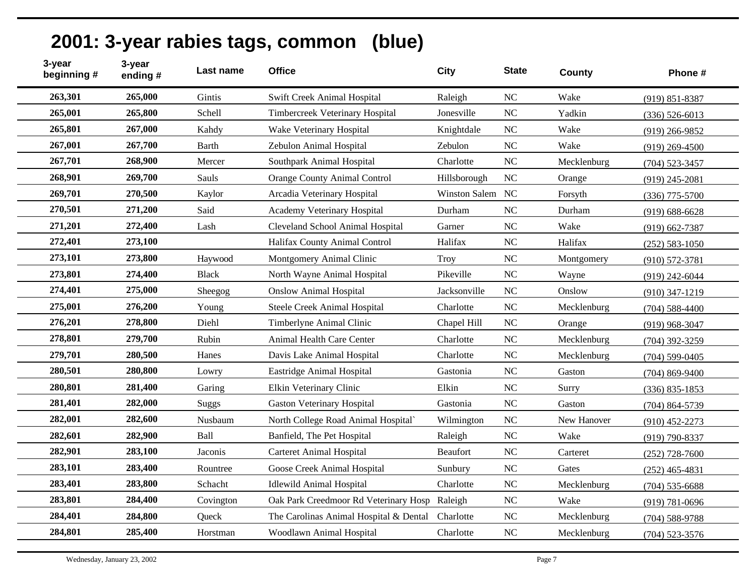| 2001: 3-year rabies tags, common (blue) |  |
|-----------------------------------------|--|
|-----------------------------------------|--|

| 3-year<br>beginning # | 3-year<br>ending# | Last name    | <b>Office</b>                                    | <b>City</b>     | <b>State</b> | County      | Phone #            |
|-----------------------|-------------------|--------------|--------------------------------------------------|-----------------|--------------|-------------|--------------------|
| 263,301               | 265,000           | Gintis       | Swift Creek Animal Hospital                      | Raleigh         | NC           | Wake        | $(919) 851 - 8387$ |
| 265,001               | 265,800           | Schell       | Timbercreek Veterinary Hospital                  | Jonesville      | <b>NC</b>    | Yadkin      | $(336) 526 - 6013$ |
| 265,801               | 267,000           | Kahdy        | Wake Veterinary Hospital                         | Knightdale      | <b>NC</b>    | Wake        | $(919)$ 266-9852   |
| 267,001               | 267,700           | <b>Barth</b> | Zebulon Animal Hospital                          | Zebulon         | <b>NC</b>    | Wake        | $(919)$ 269-4500   |
| 267,701               | 268,900           | Mercer       | Southpark Animal Hospital                        | Charlotte       | <b>NC</b>    | Mecklenburg | $(704)$ 523-3457   |
| 268,901               | 269,700           | Sauls        | <b>Orange County Animal Control</b>              | Hillsborough    | <b>NC</b>    | Orange      | $(919)$ 245-2081   |
| 269,701               | 270,500           | Kaylor       | Arcadia Veterinary Hospital                      | Winston Salem   | <b>NC</b>    | Forsyth     | $(336)$ 775-5700   |
| 270,501               | 271,200           | Said         | Academy Veterinary Hospital                      | Durham          | <b>NC</b>    | Durham      | $(919) 688 - 6628$ |
| 271,201               | 272,400           | Lash         | Cleveland School Animal Hospital                 | Garner          | <b>NC</b>    | Wake        | $(919) 662 - 7387$ |
| 272,401               | 273,100           |              | Halifax County Animal Control                    | Halifax         | <b>NC</b>    | Halifax     | $(252) 583 - 1050$ |
| 273,101               | 273,800           | Haywood      | Montgomery Animal Clinic                         | <b>Troy</b>     | NC           | Montgomery  | $(910) 572 - 3781$ |
| 273,801               | 274,400           | <b>Black</b> | North Wayne Animal Hospital                      | Pikeville       | <b>NC</b>    | Wayne       | $(919)$ 242-6044   |
| 274,401               | 275,000           | Sheegog      | <b>Onslow Animal Hospital</b>                    | Jacksonville    | NC           | Onslow      | $(910)$ 347-1219   |
| 275,001               | 276,200           | Young        | Steele Creek Animal Hospital                     | Charlotte       | <b>NC</b>    | Mecklenburg | $(704)$ 588-4400   |
| 276,201               | 278,800           | Diehl        | Timberlyne Animal Clinic                         | Chapel Hill     | <b>NC</b>    | Orange      | $(919)$ 968-3047   |
| 278,801               | 279,700           | Rubin        | Animal Health Care Center                        | Charlotte       | NC           | Mecklenburg | $(704)$ 392-3259   |
| 279,701               | 280,500           | Hanes        | Davis Lake Animal Hospital                       | Charlotte       | <b>NC</b>    | Mecklenburg | $(704)$ 599-0405   |
| 280,501               | 280,800           | Lowry        | Eastridge Animal Hospital                        | Gastonia        | <b>NC</b>    | Gaston      | $(704)$ 869-9400   |
| 280,801               | 281,400           | Garing       | Elkin Veterinary Clinic                          | Elkin           | <b>NC</b>    | Surry       | $(336) 835 - 1853$ |
| 281,401               | 282,000           | <b>Suggs</b> | <b>Gaston Veterinary Hospital</b>                | Gastonia        | <b>NC</b>    | Gaston      | (704) 864-5739     |
| 282,001               | 282,600           | Nusbaum      | North College Road Animal Hospital`              | Wilmington      | <b>NC</b>    | New Hanover | $(910)$ 452-2273   |
| 282,601               | 282,900           | Ball         | Banfield, The Pet Hospital                       | Raleigh         | NC           | Wake        | $(919)$ 790-8337   |
| 282,901               | 283,100           | Jaconis      | <b>Carteret Animal Hospital</b>                  | <b>Beaufort</b> | <b>NC</b>    | Carteret    | $(252)$ 728-7600   |
| 283,101               | 283,400           | Rountree     | Goose Creek Animal Hospital                      | Sunbury         | <b>NC</b>    | Gates       | $(252)$ 465-4831   |
| 283,401               | 283,800           | Schacht      | <b>Idlewild Animal Hospital</b>                  | Charlotte       | <b>NC</b>    | Mecklenburg | $(704)$ 535-6688   |
| 283,801               | 284,400           | Covington    | Oak Park Creedmoor Rd Veterinary Hosp Raleigh    |                 | <b>NC</b>    | Wake        | $(919) 781 - 0696$ |
| 284,401               | 284,800           | Queck        | The Carolinas Animal Hospital & Dental Charlotte |                 | <b>NC</b>    | Mecklenburg | $(704)$ 588-9788   |
| 284,801               | 285,400           | Horstman     | Woodlawn Animal Hospital                         | Charlotte       | <b>NC</b>    | Mecklenburg | $(704)$ 523-3576   |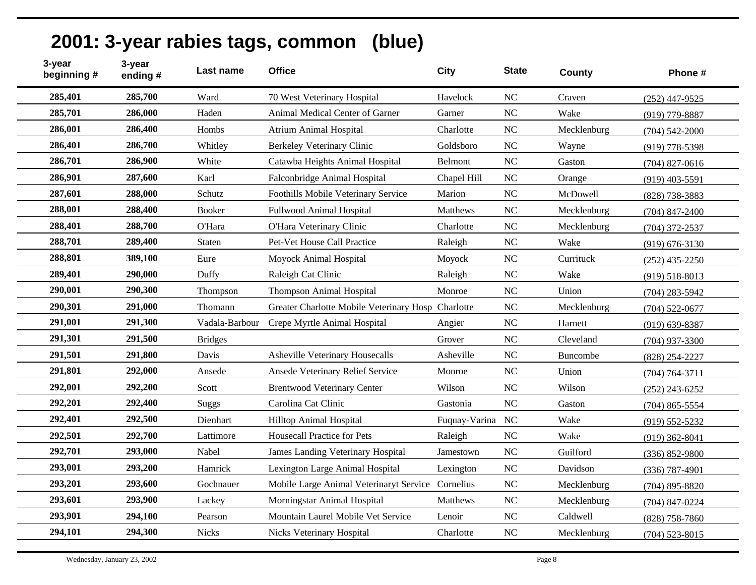| 3-year<br>beginning # | 3-year<br>ending# | Last name      | <b>Office</b>                                      | <b>City</b>     | <b>State</b>   | County          | Phone #            |
|-----------------------|-------------------|----------------|----------------------------------------------------|-----------------|----------------|-----------------|--------------------|
| 285,401               | 285,700           | Ward           | 70 West Veterinary Hospital                        | Havelock        | NC             | Craven          | $(252)$ 447-9525   |
| 285,701               | 286,000           | Haden          | Animal Medical Center of Garner                    | Garner          | <b>NC</b>      | Wake            | (919) 779-8887     |
| 286,001               | 286,400           | Hombs          | <b>Atrium Animal Hospital</b>                      | Charlotte       | N <sub>C</sub> | Mecklenburg     | $(704)$ 542-2000   |
| 286,401               | 286,700           | Whitley        | Berkeley Veterinary Clinic                         | Goldsboro       | NC             | Wayne           | $(919)$ 778-5398   |
| 286,701               | 286,900           | White          | Catawba Heights Animal Hospital                    | Belmont         | <b>NC</b>      | Gaston          | $(704)$ 827-0616   |
| 286,901               | 287,600           | Karl           | Falconbridge Animal Hospital                       | Chapel Hill     | <b>NC</b>      | Orange          | $(919)$ 403-5591   |
| 287,601               | 288,000           | Schutz         | Foothills Mobile Veterinary Service                | Marion          | <b>NC</b>      | McDowell        | (828) 738-3883     |
| 288,001               | 288,400           | <b>Booker</b>  | Fullwood Animal Hospital                           | <b>Matthews</b> | N <sub>C</sub> | Mecklenburg     | $(704)$ 847-2400   |
| 288,401               | 288,700           | O'Hara         | O'Hara Veterinary Clinic                           | Charlotte       | <b>NC</b>      | Mecklenburg     | $(704)$ 372-2537   |
| 288,701               | 289,400           | Staten         | Pet-Vet House Call Practice                        | Raleigh         | <b>NC</b>      | Wake            | $(919) 676 - 3130$ |
| 288,801               | 389,100           | Eure           | Moyock Animal Hospital                             | Moyock          | <b>NC</b>      | Currituck       | $(252)$ 435-2250   |
| 289,401               | 290,000           | Duffy          | Raleigh Cat Clinic                                 | Raleigh         | <b>NC</b>      | Wake            | $(919) 518 - 8013$ |
| 290,001               | 290,300           | Thompson       | <b>Thompson Animal Hospital</b>                    | Monroe          | <b>NC</b>      | Union           | $(704)$ 283-5942   |
| 290,301               | 291,000           | Thomann        | Greater Charlotte Mobile Veterinary Hosp Charlotte |                 | NC             | Mecklenburg     | $(704)$ 522-0677   |
| 291,001               | 291,300           | Vadala-Barbour | Crepe Myrtle Animal Hospital                       | Angier          | <b>NC</b>      | Harnett         | $(919)$ 639-8387   |
| 291,301               | 291,500           | <b>Bridges</b> |                                                    | Grover          | <b>NC</b>      | Cleveland       | $(704)$ 937-3300   |
| 291,501               | 291,800           | Davis          | <b>Asheville Veterinary Housecalls</b>             | Asheville       | <b>NC</b>      | <b>Buncombe</b> | (828) 254-2227     |
| 291,801               | 292,000           | Ansede         | Ansede Veterinary Relief Service                   | Monroe          | NC             | Union           | $(704) 764 - 3711$ |
| 292,001               | 292,200           | Scott          | <b>Brentwood Veterinary Center</b>                 | Wilson          | <b>NC</b>      | Wilson          | $(252)$ 243-6252   |
| 292,201               | 292,400           | <b>Suggs</b>   | Carolina Cat Clinic                                | Gastonia        | NC             | Gaston          | $(704)$ 865-5554   |
| 292,401               | 292,500           | Dienhart       | Hilltop Animal Hospital                            | Fuquay-Varina   | NC             | Wake            | $(919)$ 552-5232   |
| 292,501               | 292,700           | Lattimore      | <b>Housecall Practice for Pets</b>                 | Raleigh         | <b>NC</b>      | Wake            | $(919)$ 362-8041   |
| 292,701               | 293,000           | Nabel          | <b>James Landing Veterinary Hospital</b>           | Jamestown       | N <sub>C</sub> | Guilford        | $(336) 852 - 9800$ |
| 293,001               | 293,200           | Hamrick        | Lexington Large Animal Hospital                    | Lexington       | <b>NC</b>      | Davidson        | $(336)$ 787-4901   |
| 293,201               | 293,600           | Gochnauer      | Mobile Large Animal Veterinaryt Service Cornelius  |                 | <b>NC</b>      | Mecklenburg     | $(704)$ 895-8820   |
| 293,601               | 293,900           | Lackey         | Morningstar Animal Hospital                        | <b>Matthews</b> | NC             | Mecklenburg     | $(704)$ 847-0224   |
| 293,901               | 294,100           | Pearson        | Mountain Laurel Mobile Vet Service                 | Lenoir          | N <sub>C</sub> | Caldwell        | $(828)$ 758-7860   |
| 294,101               | 294,300           | <b>Nicks</b>   | Nicks Veterinary Hospital                          | Charlotte       | <b>NC</b>      | Mecklenburg     | $(704)$ 523-8015   |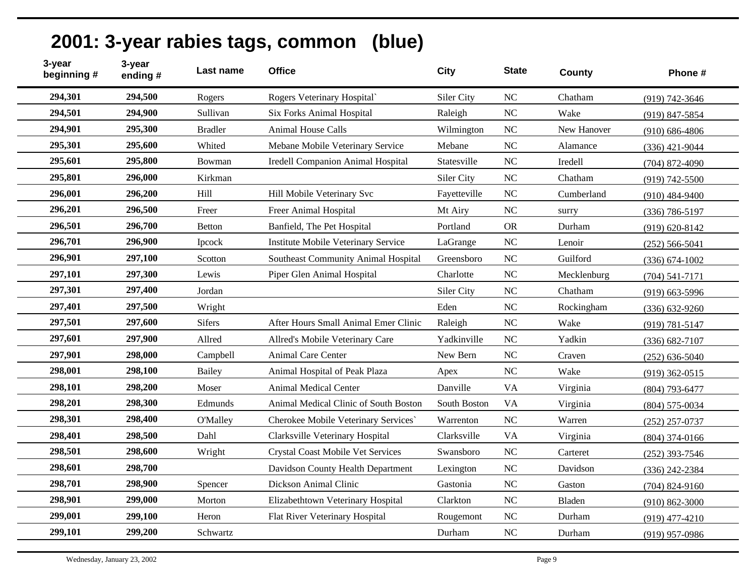| 2001: 3-year rabies tags, common (blue) |  |
|-----------------------------------------|--|
|-----------------------------------------|--|

| 3-year<br>beginning # | 3-year<br>ending# | Last name       | <b>Office</b>                            | <b>City</b>  | <b>State</b>   | <b>County</b> | Phone #            |
|-----------------------|-------------------|-----------------|------------------------------------------|--------------|----------------|---------------|--------------------|
| 294,301               | 294,500           | Rogers          | Rogers Veterinary Hospital               | Siler City   | NC             | Chatham       | $(919) 742 - 3646$ |
| 294,501               | 294,900           | Sullivan        | <b>Six Forks Animal Hospital</b>         | Raleigh      | <b>NC</b>      | Wake          | (919) 847-5854     |
| 294,901               | 295,300           | <b>Bradler</b>  | <b>Animal House Calls</b>                | Wilmington   | <b>NC</b>      | New Hanover   | $(910)$ 686-4806   |
| 295,301               | 295,600           | Whited          | Mebane Mobile Veterinary Service         | Mebane       | N <sub>C</sub> | Alamance      | $(336)$ 421-9044   |
| 295,601               | 295,800           | Bowman          | Iredell Companion Animal Hospital        | Statesville  | <b>NC</b>      | Iredell       | $(704)$ 872-4090   |
| 295,801               | 296,000           | Kirkman         |                                          | Siler City   | <b>NC</b>      | Chatham       | $(919) 742 - 5500$ |
| 296,001               | 296,200           | Hill            | Hill Mobile Veterinary Svc               | Fayetteville | N <sub>C</sub> | Cumberland    | $(910)$ 484-9400   |
| 296,201               | 296,500           | Freer           | Freer Animal Hospital                    | Mt Airy      | NC             | surry         | $(336) 786 - 5197$ |
| 296,501               | 296,700           | Betton          | Banfield, The Pet Hospital               | Portland     | <b>OR</b>      | Durham        | $(919) 620 - 8142$ |
| 296,701               | 296,900           | Ipcock          | Institute Mobile Veterinary Service      | LaGrange     | NC             | Lenoir        | $(252) 566 - 5041$ |
| 296,901               | 297,100           | Scotton         | Southeast Community Animal Hospital      | Greensboro   | N <sub>C</sub> | Guilford      | $(336) 674 - 1002$ |
| 297,101               | 297,300           | Lewis           | Piper Glen Animal Hospital               | Charlotte    | N <sub>C</sub> | Mecklenburg   | $(704) 541 - 7171$ |
| 297,301               | 297,400           | Jordan          |                                          | Siler City   | <b>NC</b>      | Chatham       | $(919)$ 663-5996   |
| 297,401               | 297,500           | Wright          |                                          | Eden         | <b>NC</b>      | Rockingham    | $(336) 632 - 9260$ |
| 297,501               | 297,600           | <b>Sifers</b>   | After Hours Small Animal Emer Clinic     | Raleigh      | <b>NC</b>      | Wake          | $(919) 781 - 5147$ |
| 297,601               | 297,900           | Allred          | Allred's Mobile Veterinary Care          | Yadkinville  | NC             | Yadkin        | $(336) 682 - 7107$ |
| 297,901               | 298,000           | Campbell        | Animal Care Center                       | New Bern     | NC             | Craven        | $(252)$ 636-5040   |
| 298,001               | 298,100           | <b>Bailey</b>   | Animal Hospital of Peak Plaza            | Apex         | <b>NC</b>      | Wake          | $(919)$ 362-0515   |
| 298,101               | 298,200           | Moser           | Animal Medical Center                    | Danville     | <b>VA</b>      | Virginia      | $(804)$ 793-6477   |
| 298,201               | 298,300           | Edmunds         | Animal Medical Clinic of South Boston    | South Boston | <b>VA</b>      | Virginia      | $(804) 575 - 0034$ |
| 298,301               | 298,400           | <b>O'Malley</b> | Cherokee Mobile Veterinary Services'     | Warrenton    | <b>NC</b>      | Warren        | $(252)$ 257-0737   |
| 298,401               | 298,500           | Dahl            | Clarksville Veterinary Hospital          | Clarksville  | <b>VA</b>      | Virginia      | $(804)$ 374-0166   |
| 298,501               | 298,600           | Wright          | <b>Crystal Coast Mobile Vet Services</b> | Swansboro    | N <sub>C</sub> | Carteret      | $(252)$ 393-7546   |
| 298,601               | 298,700           |                 | Davidson County Health Department        | Lexington    | NC             | Davidson      | $(336)$ 242-2384   |
| 298,701               | 298,900           | Spencer         | Dickson Animal Clinic                    | Gastonia     | <b>NC</b>      | Gaston        | $(704)$ 824-9160   |
| 298,901               | 299,000           | Morton          | Elizabethtown Veterinary Hospital        | Clarkton     | <b>NC</b>      | Bladen        | $(910) 862 - 3000$ |
| 299,001               | 299,100           | Heron           | Flat River Veterinary Hospital           | Rougemont    | <b>NC</b>      | Durham        | $(919)$ 477-4210   |
| 299,101               | 299,200           | Schwartz        |                                          | Durham       | <b>NC</b>      | Durham        | $(919)$ 957-0986   |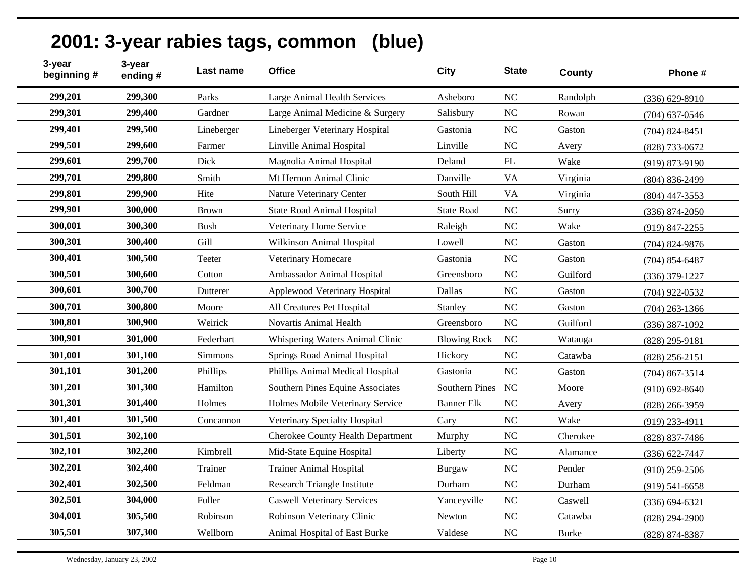| 3-year<br>beginning # | 3-year<br>ending# | Last name    | <b>Office</b>                      | <b>City</b>         | <b>State</b> | <b>County</b> | Phone #            |
|-----------------------|-------------------|--------------|------------------------------------|---------------------|--------------|---------------|--------------------|
| 299,201               | 299,300           | Parks        | Large Animal Health Services       | Asheboro            | <b>NC</b>    | Randolph      | $(336) 629 - 8910$ |
| 299,301               | 299,400           | Gardner      | Large Animal Medicine & Surgery    | Salisbury           | NC           | Rowan         | $(704)$ 637-0546   |
| 299,401               | 299,500           | Lineberger   | Lineberger Veterinary Hospital     | Gastonia            | <b>NC</b>    | Gaston        | $(704)$ 824-8451   |
| 299,501               | 299,600           | Farmer       | Linville Animal Hospital           | Linville            | NC           | Avery         | (828) 733-0672     |
| 299,601               | 299,700           | Dick         | Magnolia Animal Hospital           | Deland              | FL           | Wake          | $(919) 873 - 9190$ |
| 299,701               | 299,800           | Smith        | Mt Hernon Animal Clinic            | Danville            | <b>VA</b>    | Virginia      | $(804) 836 - 2499$ |
| 299,801               | 299,900           | Hite         | Nature Veterinary Center           | South Hill          | <b>VA</b>    | Virginia      | $(804)$ 447-3553   |
| 299,901               | 300,000           | <b>Brown</b> | <b>State Road Animal Hospital</b>  | <b>State Road</b>   | <b>NC</b>    | Surry         | $(336) 874 - 2050$ |
| 300,001               | 300,300           | <b>Bush</b>  | Veterinary Home Service            | Raleigh             | NC           | Wake          | $(919)$ 847-2255   |
| 300,301               | 300,400           | Gill         | Wilkinson Animal Hospital          | Lowell              | NC           | Gaston        | $(704)$ 824-9876   |
| 300,401               | 300,500           | Teeter       | Veterinary Homecare                | Gastonia            | NC           | Gaston        | $(704)$ 854-6487   |
| 300,501               | 300,600           | Cotton       | Ambassador Animal Hospital         | Greensboro          | NC           | Guilford      | $(336)$ 379-1227   |
| 300,601               | 300,700           | Dutterer     | Applewood Veterinary Hospital      | Dallas              | NC           | Gaston        | $(704)$ 922-0532   |
| 300,701               | 300,800           | Moore        | All Creatures Pet Hospital         | Stanley             | NC           | Gaston        | $(704)$ 263-1366   |
| 300,801               | 300,900           | Weirick      | Novartis Animal Health             | Greensboro          | NC           | Guilford      | $(336)$ 387-1092   |
| 300,901               | 301,000           | Federhart    | Whispering Waters Animal Clinic    | <b>Blowing Rock</b> | NC           | Watauga       | (828) 295-9181     |
| 301,001               | 301,100           | Simmons      | Springs Road Animal Hospital       | Hickory             | NC           | Catawba       | $(828)$ 256-2151   |
| 301,101               | 301,200           | Phillips     | Phillips Animal Medical Hospital   | Gastonia            | NC           | Gaston        | $(704)$ 867-3514   |
| 301,201               | 301,300           | Hamilton     | Southern Pines Equine Associates   | Southern Pines NC   |              | Moore         | $(910)$ 692-8640   |
| 301,301               | 301,400           | Holmes       | Holmes Mobile Veterinary Service   | <b>Banner Elk</b>   | NC           | Avery         | $(828)$ 266-3959   |
| 301,401               | 301,500           | Concannon    | Veterinary Specialty Hospital      | Cary                | NC           | Wake          | $(919)$ 233-4911   |
| 301,501               | 302,100           |              | Cherokee County Health Department  | Murphy              | NC           | Cherokee      | $(828)$ 837-7486   |
| 302,101               | 302,200           | Kimbrell     | Mid-State Equine Hospital          | Liberty             | NC           | Alamance      | $(336) 622 - 7447$ |
| 302,201               | 302,400           | Trainer      | <b>Trainer Animal Hospital</b>     | <b>Burgaw</b>       | NC           | Pender        | $(910)$ 259-2506   |
| 302,401               | 302,500           | Feldman      | Research Triangle Institute        | Durham              | NC           | Durham        | $(919)$ 541-6658   |
| 302,501               | 304,000           | Fuller       | <b>Caswell Veterinary Services</b> | Yanceyville         | NC           | Caswell       | $(336) 694 - 6321$ |
| 304,001               | 305,500           | Robinson     | Robinson Veterinary Clinic         | Newton              | $\rm NC$     | Catawba       | $(828)$ 294-2900   |
| 305,501               | 307,300           | Wellborn     | Animal Hospital of East Burke      | Valdese             | NC           | <b>Burke</b>  | (828) 874-8387     |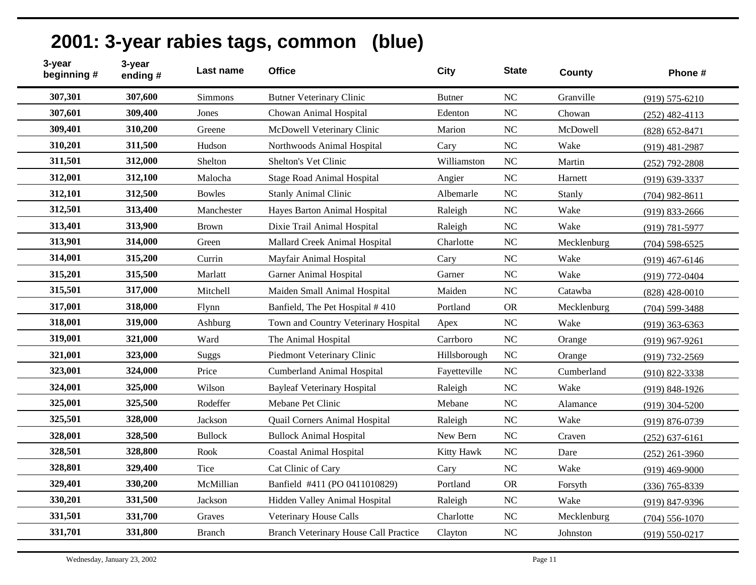| 3-year<br>beginning # | 3-year<br>ending# | Last name      | <b>Office</b>                         | <b>City</b>   | <b>State</b>   | County      | Phone #            |
|-----------------------|-------------------|----------------|---------------------------------------|---------------|----------------|-------------|--------------------|
| 307,301               | 307,600           | Simmons        | <b>Butner Veterinary Clinic</b>       | <b>Butner</b> | NC             | Granville   | $(919) 575 - 6210$ |
| 307,601               | 309,400           | Jones          | Chowan Animal Hospital                | Edenton       | N <sub>C</sub> | Chowan      | $(252)$ 482-4113   |
| 309,401               | 310,200           | Greene         | McDowell Veterinary Clinic            | Marion        | NC             | McDowell    | $(828)$ 652-8471   |
| 310,201               | 311,500           | Hudson         | Northwoods Animal Hospital            | Cary          | N <sub>C</sub> | Wake        | $(919)$ 481-2987   |
| 311,501               | 312,000           | Shelton        | Shelton's Vet Clinic                  | Williamston   | NC             | Martin      | $(252)$ 792-2808   |
| 312,001               | 312,100           | Malocha        | <b>Stage Road Animal Hospital</b>     | Angier        | <b>NC</b>      | Harnett     | $(919) 639 - 3337$ |
| 312,101               | 312,500           | <b>Bowles</b>  | <b>Stanly Animal Clinic</b>           | Albemarle     | NC             | Stanly      | $(704)$ 982-8611   |
| 312,501               | 313,400           | Manchester     | Hayes Barton Animal Hospital          | Raleigh       | NC             | Wake        | $(919) 833 - 2666$ |
| 313,401               | 313,900           | <b>Brown</b>   | Dixie Trail Animal Hospital           | Raleigh       | N <sub>C</sub> | Wake        | $(919) 781 - 5977$ |
| 313,901               | 314,000           | Green          | Mallard Creek Animal Hospital         | Charlotte     | <b>NC</b>      | Mecklenburg | $(704)$ 598-6525   |
| 314,001               | 315,200           | Currin         | Mayfair Animal Hospital               | Cary          | NC             | Wake        | $(919)$ 467-6146   |
| 315,201               | 315,500           | Marlatt        | <b>Garner Animal Hospital</b>         | Garner        | NC             | Wake        | $(919) 772 - 0404$ |
| 315,501               | 317,000           | Mitchell       | Maiden Small Animal Hospital          | Maiden        | NC             | Catawba     | $(828)$ 428-0010   |
| 317,001               | 318,000           | Flynn          | Banfield, The Pet Hospital #410       | Portland      | <b>OR</b>      | Mecklenburg | $(704)$ 599-3488   |
| 318,001               | 319,000           | Ashburg        | Town and Country Veterinary Hospital  | Apex          | <b>NC</b>      | Wake        | $(919)$ 363-6363   |
| 319,001               | 321,000           | Ward           | The Animal Hospital                   | Carrboro      | NC             | Orange      | $(919)$ 967-9261   |
| 321,001               | 323,000           | Suggs          | Piedmont Veterinary Clinic            | Hillsborough  | NC             | Orange      | (919) 732-2569     |
| 323,001               | 324,000           | Price          | <b>Cumberland Animal Hospital</b>     | Fayetteville  | N <sub>C</sub> | Cumberland  | $(910)$ 822-3338   |
| 324,001               | 325,000           | Wilson         | <b>Bayleaf Veterinary Hospital</b>    | Raleigh       | NC             | Wake        | $(919) 848 - 1926$ |
| 325,001               | 325,500           | Rodeffer       | Mebane Pet Clinic                     | Mebane        | NC             | Alamance    | $(919)$ 304-5200   |
| 325,501               | 328,000           | Jackson        | Quail Corners Animal Hospital         | Raleigh       | N <sub>C</sub> | Wake        | $(919) 876 - 0739$ |
| 328,001               | 328,500           | <b>Bullock</b> | <b>Bullock Animal Hospital</b>        | New Bern      | N <sub>C</sub> | Craven      | $(252) 637 - 6161$ |
| 328,501               | 328,800           | Rook           | <b>Coastal Animal Hospital</b>        | Kitty Hawk    | NC             | Dare        | $(252)$ 261-3960   |
| 328,801               | 329,400           | Tice           | Cat Clinic of Cary                    | Cary          | NC             | Wake        | $(919)$ 469-9000   |
| 329,401               | 330,200           | McMillian      | Banfield #411 (PO 0411010829)         | Portland      | <b>OR</b>      | Forsyth     | $(336)$ 765-8339   |
| 330,201               | 331,500           | Jackson        | Hidden Valley Animal Hospital         | Raleigh       | NC             | Wake        | (919) 847-9396     |
| 331,501               | 331,700           | Graves         | Veterinary House Calls                | Charlotte     | NC             | Mecklenburg | $(704) 556 - 1070$ |
| 331,701               | 331,800           | Branch         | Branch Veterinary House Call Practice | Clayton       | <b>NC</b>      | Johnston    | $(919) 550 - 0217$ |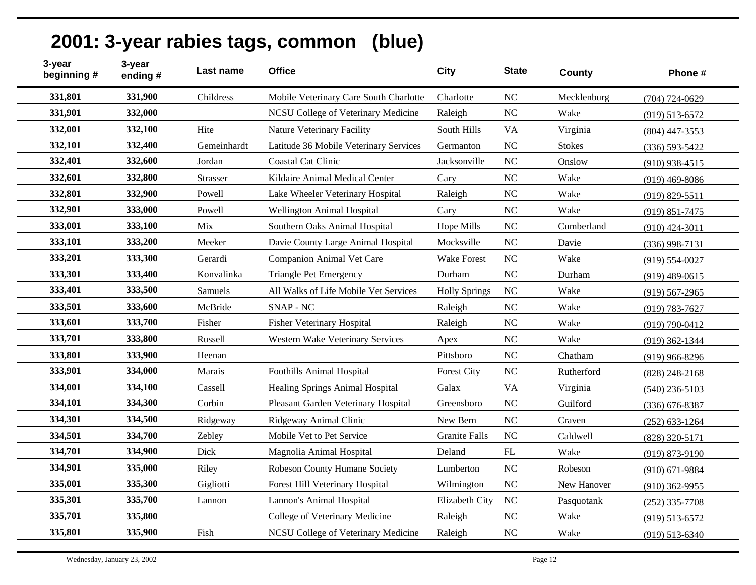| 3-year<br>beginning # | 3-year<br>ending# | Last name       | <b>Office</b>                          | <b>City</b>          | <b>State</b>   | County        | Phone #            |
|-----------------------|-------------------|-----------------|----------------------------------------|----------------------|----------------|---------------|--------------------|
| 331,801               | 331,900           | Childress       | Mobile Veterinary Care South Charlotte | Charlotte            | NC             | Mecklenburg   | $(704) 724 - 0629$ |
| 331,901               | 332,000           |                 | NCSU College of Veterinary Medicine    | Raleigh              | N <sub>C</sub> | Wake          | $(919) 513 - 6572$ |
| 332,001               | 332,100           | Hite            | <b>Nature Veterinary Facility</b>      | South Hills          | <b>VA</b>      | Virginia      | $(804)$ 447-3553   |
| 332,101               | 332,400           | Gemeinhardt     | Latitude 36 Mobile Veterinary Services | Germanton            | NC             | <b>Stokes</b> | $(336) 593 - 5422$ |
| 332,401               | 332,600           | Jordan          | <b>Coastal Cat Clinic</b>              | Jacksonville         | NC             | Onslow        | $(910)$ 938-4515   |
| 332,601               | 332,800           | <b>Strasser</b> | Kildaire Animal Medical Center         | Cary                 | N <sub>C</sub> | Wake          | $(919)$ 469-8086   |
| 332,801               | 332,900           | Powell          | Lake Wheeler Veterinary Hospital       | Raleigh              | NC             | Wake          | $(919) 829 - 5511$ |
| 332,901               | 333,000           | Powell          | <b>Wellington Animal Hospital</b>      | Cary                 | N <sub>C</sub> | Wake          | $(919) 851 - 7475$ |
| 333,001               | 333,100           | Mix             | Southern Oaks Animal Hospital          | Hope Mills           | N <sub>C</sub> | Cumberland    | $(910)$ 424-3011   |
| 333,101               | 333,200           | Meeker          | Davie County Large Animal Hospital     | Mocksville           | <b>NC</b>      | Davie         | $(336)$ 998-7131   |
| 333,201               | 333,300           | Gerardi         | Companion Animal Vet Care              | <b>Wake Forest</b>   | NC             | Wake          | $(919) 554 - 0027$ |
| 333,301               | 333,400           | Konvalinka      | <b>Triangle Pet Emergency</b>          | Durham               | NC             | Durham        | $(919)$ 489-0615   |
| 333,401               | 333,500           | Samuels         | All Walks of Life Mobile Vet Services  | <b>Holly Springs</b> | NC             | Wake          | $(919) 567 - 2965$ |
| 333,501               | 333,600           | McBride         | SNAP - NC                              | Raleigh              | <b>NC</b>      | Wake          | $(919) 783 - 7627$ |
| 333,601               | 333,700           | Fisher          | <b>Fisher Veterinary Hospital</b>      | Raleigh              | <b>NC</b>      | Wake          | $(919) 790 - 0412$ |
| 333,701               | 333,800           | Russell         | Western Wake Veterinary Services       | Apex                 | NC             | Wake          | $(919)$ 362-1344   |
| 333,801               | 333,900           | Heenan          |                                        | Pittsboro            | NC             | Chatham       | $(919)$ 966-8296   |
| 333,901               | 334,000           | Marais          | Foothills Animal Hospital              | <b>Forest City</b>   | <b>NC</b>      | Rutherford    | $(828)$ 248-2168   |
| 334,001               | 334,100           | Cassell         | Healing Springs Animal Hospital        | Galax                | <b>VA</b>      | Virginia      | $(540)$ 236-5103   |
| 334,101               | 334,300           | Corbin          | Pleasant Garden Veterinary Hospital    | Greensboro           | <b>NC</b>      | Guilford      | $(336) 676 - 8387$ |
| 334,301               | 334,500           | Ridgeway        | Ridgeway Animal Clinic                 | New Bern             | N <sub>C</sub> | Craven        | $(252)$ 633-1264   |
| 334,501               | 334,700           | Zebley          | Mobile Vet to Pet Service              | <b>Granite Falls</b> | <b>NC</b>      | Caldwell      | (828) 320-5171     |
| 334,701               | 334,900           | Dick            | Magnolia Animal Hospital               | Deland               | ${\rm FL}$     | Wake          | $(919) 873 - 9190$ |
| 334,901               | 335,000           | Riley           | Robeson County Humane Society          | Lumberton            | NC             | Robeson       | $(910)$ 671-9884   |
| 335,001               | 335,300           | Gigliotti       | Forest Hill Veterinary Hospital        | Wilmington           | NC             | New Hanover   | $(910)$ 362-9955   |
| 335,301               | 335,700           | Lannon          | Lannon's Animal Hospital               | Elizabeth City       | NC             | Pasquotank    | $(252)$ 335-7708   |
| 335,701               | 335,800           |                 | College of Veterinary Medicine         | Raleigh              | NC             | Wake          | $(919) 513 - 6572$ |
| 335,801               | 335,900           | Fish            | NCSU College of Veterinary Medicine    | Raleigh              | <b>NC</b>      | Wake          | $(919) 513 - 6340$ |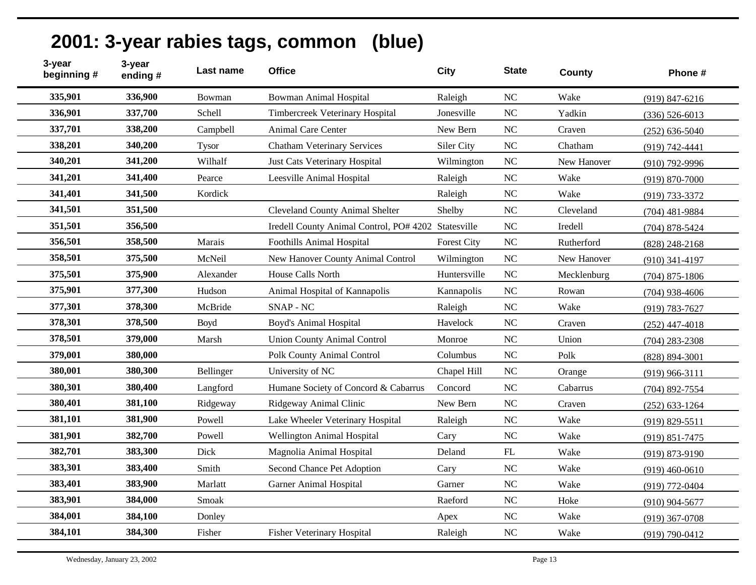| 3-year<br>beginning # | 3-year<br>ending# | Last name    | <b>Office</b>                                       | <b>City</b>        | <b>State</b>               | County      | Phone #            |
|-----------------------|-------------------|--------------|-----------------------------------------------------|--------------------|----------------------------|-------------|--------------------|
| 335,901               | 336,900           | Bowman       | <b>Bowman Animal Hospital</b>                       | Raleigh            | NC                         | Wake        | $(919) 847 - 6216$ |
| 336,901               | 337,700           | Schell       | Timbercreek Veterinary Hospital                     | Jonesville         | NC                         | Yadkin      | $(336) 526 - 6013$ |
| 337,701               | 338,200           | Campbell     | <b>Animal Care Center</b>                           | New Bern           | $\rm NC$                   | Craven      | $(252) 636 - 5040$ |
| 338,201               | 340,200           | <b>Tysor</b> | <b>Chatham Veterinary Services</b>                  | Siler City         | NC                         | Chatham     | (919) 742-4441     |
| 340,201               | 341,200           | Wilhalf      | Just Cats Veterinary Hospital                       | Wilmington         | $\rm NC$                   | New Hanover | (910) 792-9996     |
| 341,201               | 341,400           | Pearce       | Leesville Animal Hospital                           | Raleigh            | NC                         | Wake        | $(919) 870 - 7000$ |
| 341,401               | 341,500           | Kordick      |                                                     | Raleigh            | NC                         | Wake        | (919) 733-3372     |
| 341,501               | 351,500           |              | <b>Cleveland County Animal Shelter</b>              | Shelby             | NC                         | Cleveland   | (704) 481-9884     |
| 351,501               | 356,500           |              | Iredell County Animal Control, PO# 4202 Statesville |                    | $\rm NC$                   | Iredell     | $(704)$ 878-5424   |
| 356,501               | 358,500           | Marais       | Foothills Animal Hospital                           | <b>Forest City</b> | $\rm NC$                   | Rutherford  | $(828)$ 248-2168   |
| 358,501               | 375,500           | McNeil       | New Hanover County Animal Control                   | Wilmington         | N <sub>C</sub>             | New Hanover | $(910)$ 341-4197   |
| 375,501               | 375,900           | Alexander    | House Calls North                                   | Huntersville       | NC                         | Mecklenburg | $(704)$ 875-1806   |
| 375,901               | 377,300           | Hudson       | Animal Hospital of Kannapolis                       | Kannapolis         | NC                         | Rowan       | $(704)$ 938-4606   |
| 377,301               | 378,300           | McBride      | <b>SNAP - NC</b>                                    | Raleigh            | NC                         | Wake        | $(919) 783 - 7627$ |
| 378,301               | 378,500           | <b>Boyd</b>  | <b>Boyd's Animal Hospital</b>                       | Havelock           | $\rm NC$                   | Craven      | $(252)$ 447-4018   |
| 378,501               | 379,000           | Marsh        | <b>Union County Animal Control</b>                  | Monroe             | NC                         | Union       | $(704)$ 283-2308   |
| 379,001               | 380,000           |              | <b>Polk County Animal Control</b>                   | Columbus           | NC                         | Polk        | $(828) 894 - 3001$ |
| 380,001               | 380,300           | Bellinger    | University of NC                                    | Chapel Hill        | NC                         | Orange      | $(919)$ 966-3111   |
| 380,301               | 380,400           | Langford     | Humane Society of Concord & Cabarrus                | Concord            | $\rm NC$                   | Cabarrus    | (704) 892-7554     |
| 380,401               | 381,100           | Ridgeway     | Ridgeway Animal Clinic                              | New Bern           | NC                         | Craven      | $(252) 633 - 1264$ |
| 381,101               | 381,900           | Powell       | Lake Wheeler Veterinary Hospital                    | Raleigh            | NC                         | Wake        | $(919) 829 - 5511$ |
| 381,901               | 382,700           | Powell       | <b>Wellington Animal Hospital</b>                   | Cary               | NC                         | Wake        | $(919) 851 - 7475$ |
| 382,701               | 383,300           | Dick         | Magnolia Animal Hospital                            | Deland             | $\mathop{\rm FL}\nolimits$ | Wake        | $(919) 873 - 9190$ |
| 383,301               | 383,400           | Smith        | Second Chance Pet Adoption                          | Cary               | $\rm NC$                   | Wake        | $(919)$ 460-0610   |
| 383,401               | 383,900           | Marlatt      | <b>Garner Animal Hospital</b>                       | Garner             | NC                         | Wake        | (919) 772-0404     |
| 383,901               | 384,000           | Smoak        |                                                     | Raeford            | NC                         | Hoke        | $(910)$ 904-5677   |
| 384,001               | 384,100           | Donley       |                                                     | Apex               | NC                         | Wake        | $(919)$ 367-0708   |
| 384,101               | 384,300           | Fisher       | <b>Fisher Veterinary Hospital</b>                   | Raleigh            | $\rm NC$                   | Wake        | $(919) 790 - 0412$ |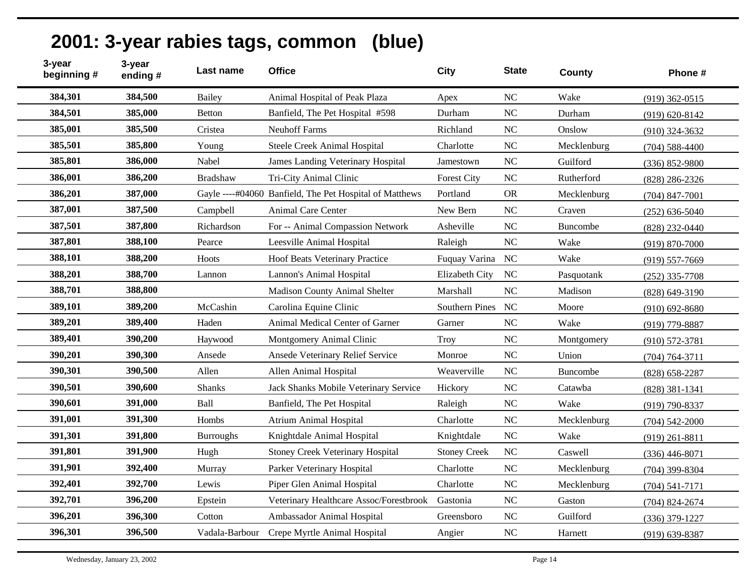| 3-year<br>beginning # | 3-year<br>ending# | Last name        | <b>Office</b>                                           | <b>City</b>           | <b>State</b>   | County          | Phone #            |
|-----------------------|-------------------|------------------|---------------------------------------------------------|-----------------------|----------------|-----------------|--------------------|
| 384,301               | 384,500           | <b>Bailey</b>    | Animal Hospital of Peak Plaza                           | Apex                  | <b>NC</b>      | Wake            | $(919)$ 362-0515   |
| 384,501               | 385,000           | <b>Betton</b>    | Banfield, The Pet Hospital #598                         | Durham                | <b>NC</b>      | Durham          | $(919) 620 - 8142$ |
| 385,001               | 385,500           | Cristea          | <b>Neuhoff Farms</b>                                    | Richland              | NC             | Onslow          | $(910)$ 324-3632   |
| 385,501               | 385,800           | Young            | Steele Creek Animal Hospital                            | Charlotte             | NC             | Mecklenburg     | $(704) 588 - 4400$ |
| 385,801               | 386,000           | Nabel            | James Landing Veterinary Hospital                       | Jamestown             | <b>NC</b>      | Guilford        | $(336) 852 - 9800$ |
| 386,001               | 386,200           | <b>Bradshaw</b>  | Tri-City Animal Clinic                                  | <b>Forest City</b>    | <b>NC</b>      | Rutherford      | $(828)$ 286-2326   |
| 386,201               | 387,000           |                  | Gayle ----#04060 Banfield, The Pet Hospital of Matthews | Portland              | <b>OR</b>      | Mecklenburg     | $(704)$ 847-7001   |
| 387,001               | 387,500           | Campbell         | <b>Animal Care Center</b>                               | New Bern              | NC             | Craven          | $(252) 636 - 5040$ |
| 387,501               | 387,800           | Richardson       | For -- Animal Compassion Network                        | Asheville             | <b>NC</b>      | <b>Buncombe</b> | (828) 232-0440     |
| 387,801               | 388,100           | Pearce           | Leesville Animal Hospital                               | Raleigh               | <b>NC</b>      | Wake            | $(919) 870 - 7000$ |
| 388,101               | 388,200           | Hoots            | Hoof Beats Veterinary Practice                          | Fuquay Varina         | <b>NC</b>      | Wake            | $(919) 557 - 7669$ |
| 388,201               | 388,700           | Lannon           | Lannon's Animal Hospital                                | Elizabeth City        | <b>NC</b>      | Pasquotank      | $(252)$ 335-7708   |
| 388,701               | 388,800           |                  | <b>Madison County Animal Shelter</b>                    | Marshall              | N <sub>C</sub> | Madison         | $(828) 649 - 3190$ |
| 389,101               | 389,200           | McCashin         | Carolina Equine Clinic                                  | <b>Southern Pines</b> | <b>NC</b>      | Moore           | $(910)$ 692-8680   |
| 389,201               | 389,400           | Haden            | Animal Medical Center of Garner                         | Garner                | <b>NC</b>      | Wake            | (919) 779-8887     |
| 389,401               | 390,200           | Haywood          | Montgomery Animal Clinic                                | <b>Troy</b>           | <b>NC</b>      | Montgomery      | $(910) 572 - 3781$ |
| 390,201               | 390,300           | Ansede           | Ansede Veterinary Relief Service                        | Monroe                | N <sub>C</sub> | Union           | $(704) 764 - 3711$ |
| 390,301               | 390,500           | Allen            | Allen Animal Hospital                                   | Weaverville           | N <sub>C</sub> | Buncombe        | $(828)$ 658-2287   |
| 390,501               | 390,600           | <b>Shanks</b>    | Jack Shanks Mobile Veterinary Service                   | Hickory               | <b>NC</b>      | Catawba         | $(828)$ 381-1341   |
| 390,601               | 391,000           | Ball             | Banfield, The Pet Hospital                              | Raleigh               | <b>NC</b>      | Wake            | (919) 790-8337     |
| 391,001               | 391,300           | Hombs            | <b>Atrium Animal Hospital</b>                           | Charlotte             | <b>NC</b>      | Mecklenburg     | $(704)$ 542-2000   |
| 391,301               | 391,800           | <b>Burroughs</b> | Knightdale Animal Hospital                              | Knightdale            | <b>NC</b>      | Wake            | $(919)$ 261-8811   |
| 391,801               | 391,900           | Hugh             | <b>Stoney Creek Veterinary Hospital</b>                 | <b>Stoney Creek</b>   | N <sub>C</sub> | Caswell         | $(336)$ 446-8071   |
| 391,901               | 392,400           | Murray           | Parker Veterinary Hospital                              | Charlotte             | <b>NC</b>      | Mecklenburg     | $(704)$ 399-8304   |
| 392,401               | 392,700           | Lewis            | Piper Glen Animal Hospital                              | Charlotte             | <b>NC</b>      | Mecklenburg     | $(704) 541 - 7171$ |
| 392,701               | 396,200           | Epstein          | Veterinary Healthcare Assoc/Forestbrook                 | Gastonia              | NC             | Gaston          | $(704)$ 824-2674   |
| 396,201               | 396,300           | Cotton           | Ambassador Animal Hospital                              | Greensboro            | N <sub>C</sub> | Guilford        | $(336)$ 379-1227   |
| 396,301               | 396,500           | Vadala-Barbour   | Crepe Myrtle Animal Hospital                            | Angier                | <b>NC</b>      | Harnett         | $(919)$ 639-8387   |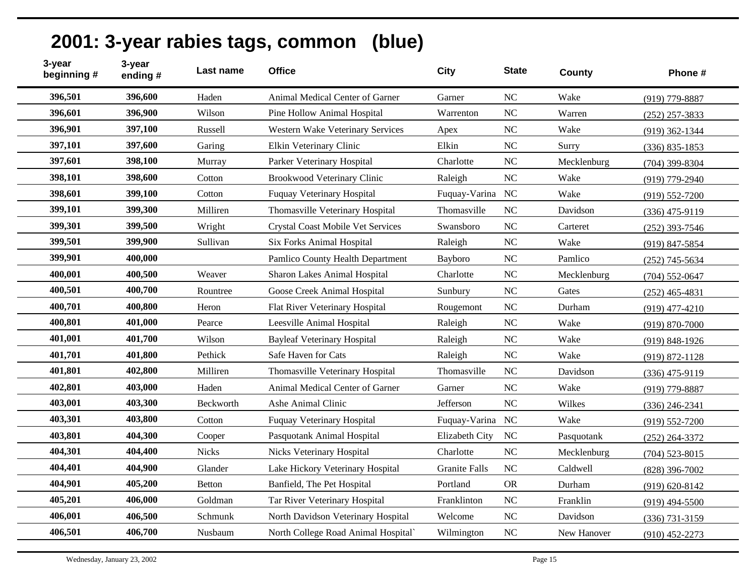| 3-year<br>beginning # | 3-year<br>ending# | Last name        | <b>Office</b>                            | <b>City</b>          | <b>State</b>   | County      | Phone #            |
|-----------------------|-------------------|------------------|------------------------------------------|----------------------|----------------|-------------|--------------------|
| 396,501               | 396,600           | Haden            | Animal Medical Center of Garner          | Garner               | N <sub>C</sub> | Wake        | (919) 779-8887     |
| 396,601               | 396,900           | Wilson           | Pine Hollow Animal Hospital              | Warrenton            | <b>NC</b>      | Warren      | $(252)$ 257-3833   |
| 396,901               | 397,100           | Russell          | <b>Western Wake Veterinary Services</b>  | Apex                 | <b>NC</b>      | Wake        | $(919)$ 362-1344   |
| 397,101               | 397,600           | Garing           | Elkin Veterinary Clinic                  | Elkin                | NC             | Surry       | $(336) 835 - 1853$ |
| 397,601               | 398,100           | Murray           | Parker Veterinary Hospital               | Charlotte            | NC             | Mecklenburg | $(704)$ 399-8304   |
| 398,101               | 398,600           | Cotton           | Brookwood Veterinary Clinic              | Raleigh              | <b>NC</b>      | Wake        | $(919)$ 779-2940   |
| 398,601               | 399,100           | Cotton           | <b>Fuquay Veterinary Hospital</b>        | Fuquay-Varina        | N <sub>C</sub> | Wake        | $(919) 552 - 7200$ |
| 399,101               | 399,300           | Milliren         | Thomasville Veterinary Hospital          | Thomasville          | N <sub>C</sub> | Davidson    | $(336)$ 475-9119   |
| 399,301               | 399,500           | Wright           | <b>Crystal Coast Mobile Vet Services</b> | Swansboro            | NC             | Carteret    | $(252)$ 393-7546   |
| 399,501               | 399,900           | Sullivan         | <b>Six Forks Animal Hospital</b>         | Raleigh              | NC             | Wake        | $(919)$ 847-5854   |
| 399,901               | 400,000           |                  | Pamlico County Health Department         | Bayboro              | <b>NC</b>      | Pamlico     | $(252)$ 745-5634   |
| 400,001               | 400,500           | Weaver           | Sharon Lakes Animal Hospital             | Charlotte            | <b>NC</b>      | Mecklenburg | $(704)$ 552-0647   |
| 400,501               | 400,700           | Rountree         | Goose Creek Animal Hospital              | Sunbury              | <b>NC</b>      | Gates       | $(252)$ 465-4831   |
| 400,701               | 400,800           | Heron            | Flat River Veterinary Hospital           | Rougemont            | <b>NC</b>      | Durham      | $(919)$ 477-4210   |
| 400,801               | 401,000           | Pearce           | Leesville Animal Hospital                | Raleigh              | NC             | Wake        | $(919) 870 - 7000$ |
| 401,001               | 401,700           | Wilson           | <b>Bayleaf Veterinary Hospital</b>       | Raleigh              | NC             | Wake        | $(919) 848 - 1926$ |
| 401,701               | 401,800           | Pethick          | Safe Haven for Cats                      | Raleigh              | NC             | Wake        | $(919) 872 - 1128$ |
| 401,801               | 402,800           | Milliren         | Thomasville Veterinary Hospital          | Thomasville          | <b>NC</b>      | Davidson    | $(336)$ 475-9119   |
| 402,801               | 403,000           | Haden            | Animal Medical Center of Garner          | Garner               | <b>NC</b>      | Wake        | (919) 779-8887     |
| 403,001               | 403,300           | <b>Beckworth</b> | Ashe Animal Clinic                       | Jefferson            | N <sub>C</sub> | Wilkes      | $(336)$ 246-2341   |
| 403,301               | 403,800           | Cotton           | Fuquay Veterinary Hospital               | Fuquay-Varina        | NC             | Wake        | $(919) 552 - 7200$ |
| 403,801               | 404,300           | Cooper           | Pasquotank Animal Hospital               | Elizabeth City       | <b>NC</b>      | Pasquotank  | $(252)$ 264-3372   |
| 404,301               | 404,400           | <b>Nicks</b>     | <b>Nicks Veterinary Hospital</b>         | Charlotte            | <b>NC</b>      | Mecklenburg | $(704)$ 523-8015   |
| 404,401               | 404,900           | Glander          | Lake Hickory Veterinary Hospital         | <b>Granite Falls</b> | <b>NC</b>      | Caldwell    | $(828)$ 396-7002   |
| 404,901               | 405,200           | <b>Betton</b>    | Banfield, The Pet Hospital               | Portland             | <b>OR</b>      | Durham      | $(919) 620 - 8142$ |
| 405,201               | 406,000           | Goldman          | Tar River Veterinary Hospital            | Franklinton          | NC             | Franklin    | $(919)$ 494-5500   |
| 406,001               | 406,500           | Schmunk          | North Davidson Veterinary Hospital       | Welcome              | <b>NC</b>      | Davidson    | $(336)$ 731-3159   |
| 406,501               | 406,700           | Nusbaum          | North College Road Animal Hospital       | Wilmington           | <b>NC</b>      | New Hanover | $(910)$ 452-2273   |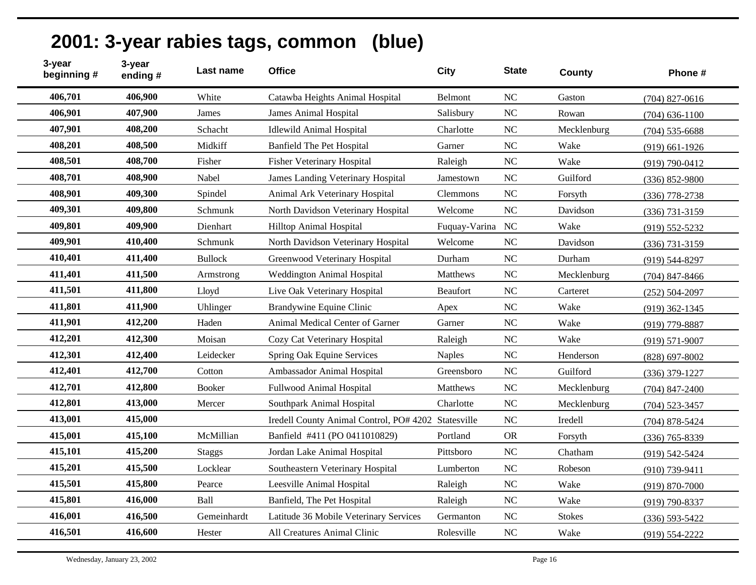| 3-year<br>beginning # | 3-year<br>ending# | Last name      | <b>Office</b>                                       | <b>City</b>   | <b>State</b>   | County        | Phone #            |
|-----------------------|-------------------|----------------|-----------------------------------------------------|---------------|----------------|---------------|--------------------|
| 406,701               | 406,900           | White          | Catawba Heights Animal Hospital                     | Belmont       | NC             | Gaston        | $(704)$ 827-0616   |
| 406,901               | 407,900           | James          | <b>James Animal Hospital</b>                        | Salisbury     | <b>NC</b>      | Rowan         | $(704)$ 636-1100   |
| 407,901               | 408,200           | Schacht        | <b>Idlewild Animal Hospital</b>                     | Charlotte     | N <sub>C</sub> | Mecklenburg   | $(704)$ 535-6688   |
| 408,201               | 408,500           | Midkiff        | <b>Banfield The Pet Hospital</b>                    | Garner        | <b>NC</b>      | Wake          | $(919)$ 661-1926   |
| 408,501               | 408,700           | Fisher         | <b>Fisher Veterinary Hospital</b>                   | Raleigh       | <b>NC</b>      | Wake          | $(919) 790 - 0412$ |
| 408,701               | 408,900           | Nabel          | James Landing Veterinary Hospital                   | Jamestown     | <b>NC</b>      | Guilford      | $(336) 852 - 9800$ |
| 408,901               | 409,300           | Spindel        | Animal Ark Veterinary Hospital                      | Clemmons      | <b>NC</b>      | Forsyth       | $(336)$ 778-2738   |
| 409,301               | 409,800           | Schmunk        | North Davidson Veterinary Hospital                  | Welcome       | NC             | Davidson      | $(336) 731 - 3159$ |
| 409,801               | 409,900           | Dienhart       | <b>Hilltop Animal Hospital</b>                      | Fuquay-Varina | NC             | Wake          | $(919) 552 - 5232$ |
| 409,901               | 410,400           | Schmunk        | North Davidson Veterinary Hospital                  | Welcome       | NC             | Davidson      | $(336)$ 731-3159   |
| 410,401               | 411,400           | <b>Bullock</b> | Greenwood Veterinary Hospital                       | Durham        | <b>NC</b>      | Durham        | $(919) 544 - 8297$ |
| 411,401               | 411,500           | Armstrong      | <b>Weddington Animal Hospital</b>                   | Matthews      | <b>NC</b>      | Mecklenburg   | $(704)$ 847-8466   |
| 411,501               | 411,800           | Lloyd          | Live Oak Veterinary Hospital                        | Beaufort      | N <sub>C</sub> | Carteret      | $(252) 504 - 2097$ |
| 411,801               | 411,900           | Uhlinger       | Brandywine Equine Clinic                            | Apex          | NC             | Wake          | $(919)$ 362-1345   |
| 411,901               | 412,200           | Haden          | Animal Medical Center of Garner                     | Garner        | NC             | Wake          | (919) 779-8887     |
| 412,201               | 412,300           | Moisan         | Cozy Cat Veterinary Hospital                        | Raleigh       | NC             | Wake          | $(919) 571 - 9007$ |
| 412,301               | 412,400           | Leidecker      | Spring Oak Equine Services                          | <b>Naples</b> | <b>NC</b>      | Henderson     | $(828)$ 697-8002   |
| 412,401               | 412,700           | Cotton         | Ambassador Animal Hospital                          | Greensboro    | NC             | Guilford      | $(336)$ 379-1227   |
| 412,701               | 412,800           | <b>Booker</b>  | <b>Fullwood Animal Hospital</b>                     | Matthews      | <b>NC</b>      | Mecklenburg   | $(704)$ 847-2400   |
| 412,801               | 413,000           | Mercer         | Southpark Animal Hospital                           | Charlotte     | <b>NC</b>      | Mecklenburg   | $(704)$ 523-3457   |
| 413,001               | 415,000           |                | Iredell County Animal Control, PO# 4202 Statesville |               | <b>NC</b>      | Iredell       | $(704)$ 878-5424   |
| 415,001               | 415,100           | McMillian      | Banfield #411 (PO 0411010829)                       | Portland      | <b>OR</b>      | Forsyth       | $(336)$ 765-8339   |
| 415,101               | 415,200           | <b>Staggs</b>  | Jordan Lake Animal Hospital                         | Pittsboro     | N <sub>C</sub> | Chatham       | (919) 542-5424     |
| 415,201               | 415,500           | Locklear       | Southeastern Veterinary Hospital                    | Lumberton     | <b>NC</b>      | Robeson       | $(910)$ 739-9411   |
| 415,501               | 415,800           | Pearce         | Leesville Animal Hospital                           | Raleigh       | <b>NC</b>      | Wake          | $(919) 870 - 7000$ |
| 415,801               | 416,000           | Ball           | Banfield, The Pet Hospital                          | Raleigh       | NC             | Wake          | $(919) 790 - 8337$ |
| 416,001               | 416,500           | Gemeinhardt    | Latitude 36 Mobile Veterinary Services              | Germanton     | N <sub>C</sub> | <b>Stokes</b> | $(336) 593 - 5422$ |
| 416,501               | 416,600           | Hester         | All Creatures Animal Clinic                         | Rolesville    | <b>NC</b>      | Wake          | $(919) 554 - 2222$ |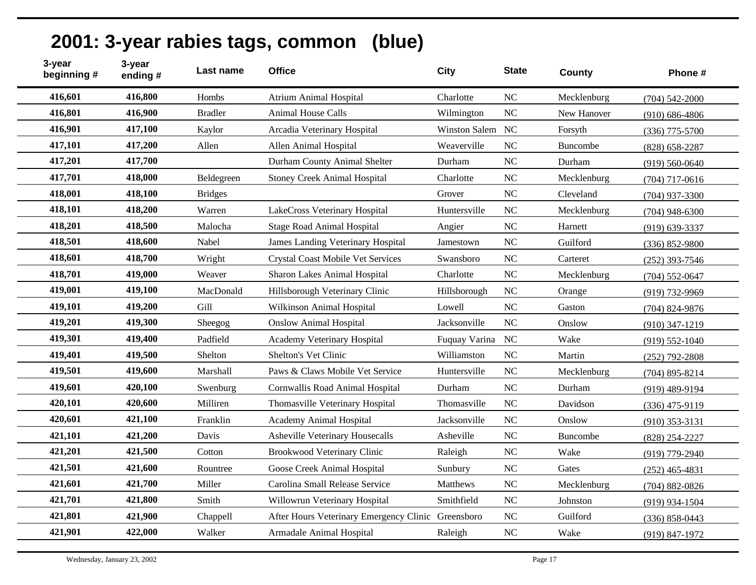| 3-year<br>beginning # | 3-year<br>ending # | Last name      | <b>Office</b>                                      | City             | <b>State</b>   | <b>County</b> | Phone #            |
|-----------------------|--------------------|----------------|----------------------------------------------------|------------------|----------------|---------------|--------------------|
| 416,601               | 416,800            | Hombs          | <b>Atrium Animal Hospital</b>                      | Charlotte        | NC             | Mecklenburg   | $(704) 542 - 2000$ |
| 416,801               | 416,900            | <b>Bradler</b> | <b>Animal House Calls</b>                          | Wilmington       | NC             | New Hanover   | $(910) 686 - 4806$ |
| 416,901               | 417,100            | Kaylor         | Arcadia Veterinary Hospital                        | Winston Salem NC |                | Forsyth       | $(336)$ 775-5700   |
| 417,101               | 417,200            | Allen          | Allen Animal Hospital                              | Weaverville      | <b>NC</b>      | Buncombe      | $(828) 658 - 2287$ |
| 417,201               | 417,700            |                | Durham County Animal Shelter                       | Durham           | N <sub>C</sub> | Durham        | $(919) 560 - 0640$ |
| 417,701               | 418,000            | Beldegreen     | <b>Stoney Creek Animal Hospital</b>                | Charlotte        | NC             | Mecklenburg   | $(704)$ 717-0616   |
| 418,001               | 418,100            | <b>Bridges</b> |                                                    | Grover           | N <sub>C</sub> | Cleveland     | $(704)$ 937-3300   |
| 418,101               | 418,200            | Warren         | LakeCross Veterinary Hospital                      | Huntersville     | <b>NC</b>      | Mecklenburg   | $(704)$ 948-6300   |
| 418,201               | 418,500            | Malocha        | <b>Stage Road Animal Hospital</b>                  | Angier           | NC             | Harnett       | $(919) 639 - 3337$ |
| 418,501               | 418,600            | Nabel          | James Landing Veterinary Hospital                  | Jamestown        | NC             | Guilford      | $(336) 852 - 9800$ |
| 418,601               | 418,700            | Wright         | <b>Crystal Coast Mobile Vet Services</b>           | Swansboro        | NC             | Carteret      | $(252)$ 393-7546   |
| 418,701               | 419,000            | Weaver         | Sharon Lakes Animal Hospital                       | Charlotte        | N <sub>C</sub> | Mecklenburg   | $(704) 552 - 0647$ |
| 419,001               | 419,100            | MacDonald      | Hillsborough Veterinary Clinic                     | Hillsborough     | N <sub>C</sub> | Orange        | (919) 732-9969     |
| 419,101               | 419,200            | Gill           | Wilkinson Animal Hospital                          | Lowell           | N <sub>C</sub> | Gaston        | $(704)$ 824-9876   |
| 419,201               | 419,300            | Sheegog        | <b>Onslow Animal Hospital</b>                      | Jacksonville     | NC             | Onslow        | $(910)$ 347-1219   |
| 419,301               | 419,400            | Padfield       | Academy Veterinary Hospital                        | Fuquay Varina    | <b>NC</b>      | Wake          | $(919) 552 - 1040$ |
| 419,401               | 419,500            | Shelton        | Shelton's Vet Clinic                               | Williamston      | N <sub>C</sub> | Martin        | $(252)$ 792-2808   |
| 419,501               | 419,600            | Marshall       | Paws & Claws Mobile Vet Service                    | Huntersville     | N <sub>C</sub> | Mecklenburg   | $(704)$ 895-8214   |
| 419,601               | 420,100            | Swenburg       | Cornwallis Road Animal Hospital                    | Durham           | NC             | Durham        | (919) 489-9194     |
| 420,101               | 420,600            | Milliren       | Thomasville Veterinary Hospital                    | Thomasville      | N <sub>C</sub> | Davidson      | $(336)$ 475-9119   |
| 420,601               | 421,100            | Franklin       | <b>Academy Animal Hospital</b>                     | Jacksonville     | N <sub>C</sub> | Onslow        | $(910)$ 353-3131   |
| 421,101               | 421,200            | Davis          | Asheville Veterinary Housecalls                    | Asheville        | N <sub>C</sub> | Buncombe      | (828) 254-2227     |
| 421,201               | 421,500            | Cotton         | <b>Brookwood Veterinary Clinic</b>                 | Raleigh          | NC             | Wake          | $(919)$ 779-2940   |
| 421,501               | 421,600            | Rountree       | Goose Creek Animal Hospital                        | Sunbury          | NC             | Gates         | $(252)$ 465-4831   |
| 421,601               | 421,700            | Miller         | Carolina Small Release Service                     | Matthews         | N <sub>C</sub> | Mecklenburg   | $(704)$ 882-0826   |
| 421,701               | 421,800            | Smith          | Willowrun Veterinary Hospital                      | Smithfield       | <b>NC</b>      | Johnston      | $(919)$ 934-1504   |
| 421,801               | 421,900            | Chappell       | After Hours Veterinary Emergency Clinic Greensboro |                  | N <sub>C</sub> | Guilford      | $(336) 858 - 0443$ |
| 421,901               | 422,000            | Walker         | Armadale Animal Hospital                           | Raleigh          | NC             | Wake          | (919) 847-1972     |